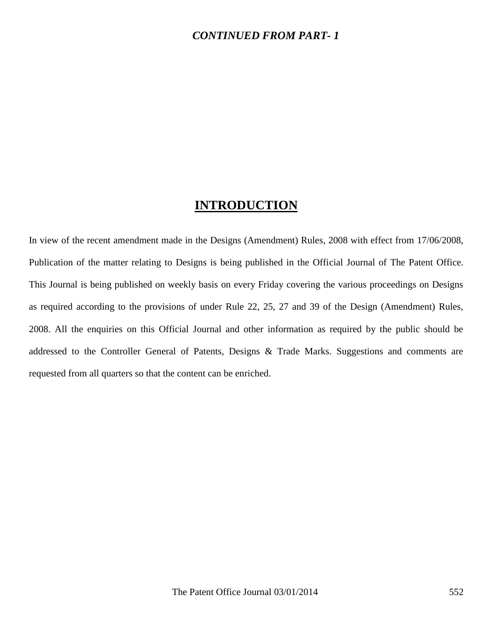### *CONTINUED FROM PART- 1*

## **INTRODUCTION**

In view of the recent amendment made in the Designs (Amendment) Rules, 2008 with effect from 17/06/2008, Publication of the matter relating to Designs is being published in the Official Journal of The Patent Office. This Journal is being published on weekly basis on every Friday covering the various proceedings on Designs as required according to the provisions of under Rule 22, 25, 27 and 39 of the Design (Amendment) Rules, 2008. All the enquiries on this Official Journal and other information as required by the public should be addressed to the Controller General of Patents, Designs & Trade Marks. Suggestions and comments are requested from all quarters so that the content can be enriched.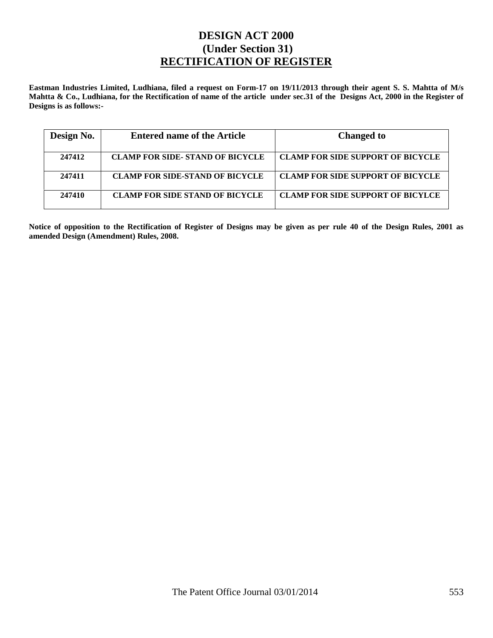### **DESIGN ACT 2000 (Under Section 31) RECTIFICATION OF REGISTER**

**Eastman Industries Limited, Ludhiana, filed a request on Form-17 on 19/11/2013 through their agent S. S. Mahtta of M/s Mahtta & Co., Ludhiana, for the Rectification of name of the article under sec.31 of the Designs Act, 2000 in the Register of Designs is as follows:-**

| Design No. | <b>Entered name of the Article</b>      | <b>Changed to</b>                        |
|------------|-----------------------------------------|------------------------------------------|
| 247412     | <b>CLAMP FOR SIDE- STAND OF BICYCLE</b> | <b>CLAMP FOR SIDE SUPPORT OF BICYCLE</b> |
| 247411     | <b>CLAMP FOR SIDE-STAND OF BICYCLE</b>  | <b>CLAMP FOR SIDE SUPPORT OF BICYCLE</b> |
| 247410     | <b>CLAMP FOR SIDE STAND OF BICYCLE</b>  | <b>CLAMP FOR SIDE SUPPORT OF BICYLCE</b> |

**Notice of opposition to the Rectification of Register of Designs may be given as per rule 40 of the Design Rules, 2001 as amended Design (Amendment) Rules, 2008.**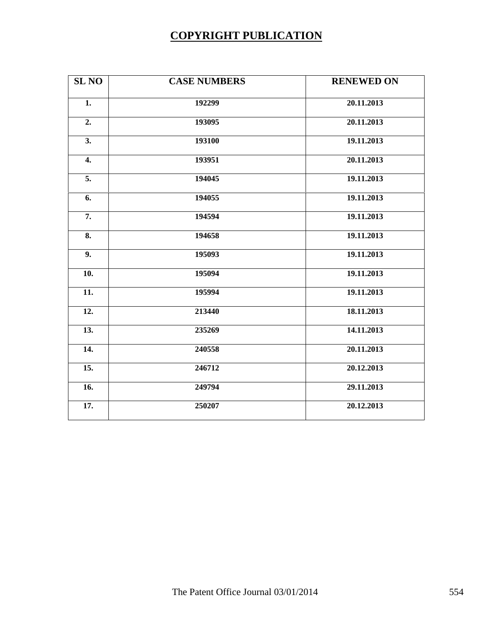# **COPYRIGHT PUBLICATION**

| <b>SL NO</b>      | <b>CASE NUMBERS</b> | <b>RENEWED ON</b> |
|-------------------|---------------------|-------------------|
| 1.                | 192299              | 20.11.2013        |
| 2.                | 193095              | 20.11.2013        |
| 3.                | 193100              | 19.11.2013        |
| 4.                | 193951              | 20.11.2013        |
| 5.                | 194045              | 19.11.2013        |
| 6.                | 194055              | 19.11.2013        |
| 7.                | 194594              | 19.11.2013        |
| 8.                | 194658              | 19.11.2013        |
| 9.                | 195093              | 19.11.2013        |
| 10.               | 195094              | 19.11.2013        |
| $\overline{11}$ . | 195994              | 19.11.2013        |
| 12.               | 213440              | 18.11.2013        |
| 13.               | 235269              | 14.11.2013        |
| 14.               | 240558              | 20.11.2013        |
| 15.               | 246712              | 20.12.2013        |
| 16.               | 249794              | 29.11.2013        |
| 17.               | 250207              | 20.12.2013        |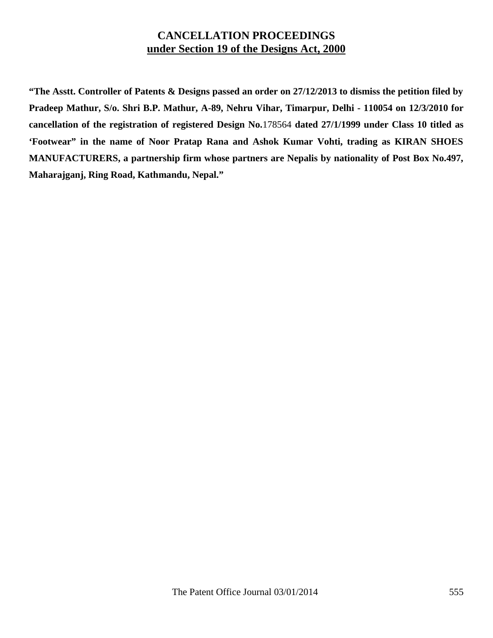### **CANCELLATION PROCEEDINGS under Section 19 of the Designs Act, 2000**

**"The Asstt. Controller of Patents & Designs passed an order on 27/12/2013 to dismiss the petition filed by Pradeep Mathur, S/o. Shri B.P. Mathur, A-89, Nehru Vihar, Timarpur, Delhi - 110054 on 12/3/2010 for cancellation of the registration of registered Design No.**178564 **dated 27/1/1999 under Class 10 titled as 'Footwear" in the name of Noor Pratap Rana and Ashok Kumar Vohti, trading as KIRAN SHOES MANUFACTURERS, a partnership firm whose partners are Nepalis by nationality of Post Box No.497, Maharajganj, Ring Road, Kathmandu, Nepal."**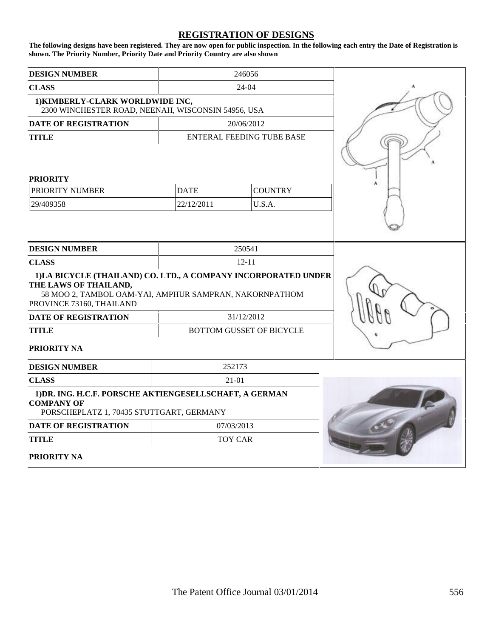#### **REGISTRATION OF DESIGNS**

**The following designs have been registered. They are now open for public inspection. In the following each entry the Date of Registration is shown. The Priority Number, Priority Date and Priority Country are also shown**

| <b>DESIGN NUMBER</b>                                                                                                                                                          | 246056         |                                  |  |
|-------------------------------------------------------------------------------------------------------------------------------------------------------------------------------|----------------|----------------------------------|--|
| <b>CLASS</b>                                                                                                                                                                  |                | $24-04$                          |  |
| 1) KIMBERLY-CLARK WORLDWIDE INC,<br>2300 WINCHESTER ROAD, NEENAH, WISCONSIN 54956, USA                                                                                        |                |                                  |  |
| <b>DATE OF REGISTRATION</b>                                                                                                                                                   |                | 20/06/2012                       |  |
| <b>TITLE</b>                                                                                                                                                                  |                | <b>ENTERAL FEEDING TUBE BASE</b> |  |
| <b>PRIORITY</b>                                                                                                                                                               |                |                                  |  |
| PRIORITY NUMBER                                                                                                                                                               | <b>DATE</b>    | <b>COUNTRY</b>                   |  |
| 29/409358                                                                                                                                                                     | 22/12/2011     | U.S.A.                           |  |
| <b>DESIGN NUMBER</b>                                                                                                                                                          |                | 250541                           |  |
|                                                                                                                                                                               | $12 - 11$      |                                  |  |
| <b>CLASS</b>                                                                                                                                                                  |                |                                  |  |
| 1)LA BICYCLE (THAILAND) CO. LTD., A COMPANY INCORPORATED UNDER<br>THE LAWS OF THAILAND,<br>58 MOO 2, TAMBOL OAM-YAI, AMPHUR SAMPRAN, NAKORNPATHOM<br>PROVINCE 73160, THAILAND |                |                                  |  |
| <b>DATE OF REGISTRATION</b>                                                                                                                                                   |                | 31/12/2012                       |  |
| <b>TITLE</b>                                                                                                                                                                  |                | <b>BOTTOM GUSSET OF BICYCLE</b>  |  |
| PRIORITY NA                                                                                                                                                                   |                |                                  |  |
| <b>DESIGN NUMBER</b>                                                                                                                                                          | 252173         |                                  |  |
| <b>CLASS</b>                                                                                                                                                                  | 21-01          |                                  |  |
| 1) DR. ING. H.C.F. PORSCHE AKTIENGESELLSCHAFT, A GERMAN<br><b>COMPANY OF</b><br>PORSCHEPLATZ 1, 70435 STUTTGART, GERMANY                                                      |                |                                  |  |
| <b>DATE OF REGISTRATION</b>                                                                                                                                                   |                | 07/03/2013                       |  |
| <b>TITLE</b>                                                                                                                                                                  | <b>TOY CAR</b> |                                  |  |
| <b>PRIORITY NA</b>                                                                                                                                                            |                |                                  |  |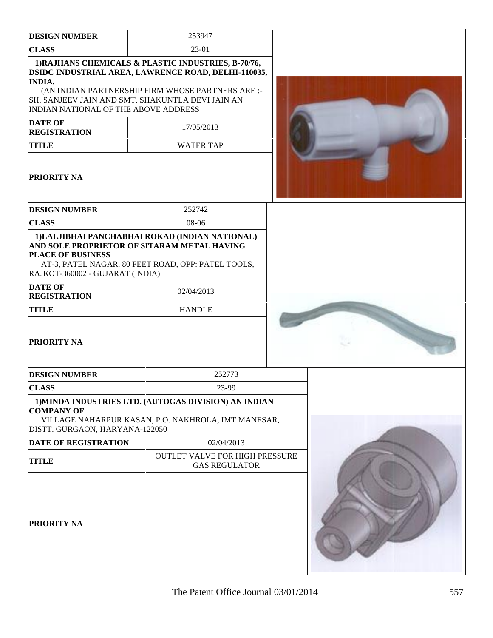| <b>DESIGN NUMBER</b>                                                          | 253947                                                                                                                                                                                                              |  |
|-------------------------------------------------------------------------------|---------------------------------------------------------------------------------------------------------------------------------------------------------------------------------------------------------------------|--|
| <b>CLASS</b>                                                                  | 23-01                                                                                                                                                                                                               |  |
| <b>INDIA.</b><br><b>INDIAN NATIONAL OF THE ABOVE ADDRESS</b>                  | 1) RAJHANS CHEMICALS & PLASTIC INDUSTRIES, B-70/76,<br>DSIDC INDUSTRIAL AREA, LAWRENCE ROAD, DELHI-110035,<br>(AN INDIAN PARTNERSHIP FIRM WHOSE PARTNERS ARE :-<br>SH. SANJEEV JAIN AND SMT. SHAKUNTLA DEVI JAIN AN |  |
| <b>DATE OF</b><br><b>REGISTRATION</b>                                         | 17/05/2013                                                                                                                                                                                                          |  |
| <b>TITLE</b>                                                                  | <b>WATER TAP</b>                                                                                                                                                                                                    |  |
| PRIORITY NA                                                                   |                                                                                                                                                                                                                     |  |
| <b>DESIGN NUMBER</b>                                                          | 252742                                                                                                                                                                                                              |  |
| <b>CLASS</b>                                                                  | 08-06                                                                                                                                                                                                               |  |
| <b>PLACE OF BUSINESS</b><br>RAJKOT-360002 - GUJARAT (INDIA)<br><b>DATE OF</b> | 1) LALJIBHAI PANCHABHAI ROKAD (INDIAN NATIONAL)<br>AND SOLE PROPRIETOR OF SITARAM METAL HAVING<br>AT-3, PATEL NAGAR, 80 FEET ROAD, OPP: PATEL TOOLS,                                                                |  |
| <b>REGISTRATION</b>                                                           | 02/04/2013                                                                                                                                                                                                          |  |
| <b>TITLE</b>                                                                  | <b>HANDLE</b>                                                                                                                                                                                                       |  |
| <b>PRIORITY NA</b>                                                            |                                                                                                                                                                                                                     |  |
| <b>DESIGN NUMBER</b>                                                          | 252773                                                                                                                                                                                                              |  |
| <b>CLASS</b>                                                                  | 23-99                                                                                                                                                                                                               |  |
| <b>COMPANY OF</b><br>DISTT. GURGAON, HARYANA-122050                           | 1) MINDA INDUSTRIES LTD. (AUTOGAS DIVISION) AN INDIAN<br>VILLAGE NAHARPUR KASAN, P.O. NAKHROLA, IMT MANESAR,                                                                                                        |  |
| <b>DATE OF REGISTRATION</b>                                                   | 02/04/2013                                                                                                                                                                                                          |  |
| <b>TITLE</b>                                                                  | <b>OUTLET VALVE FOR HIGH PRESSURE</b><br><b>GAS REGULATOR</b>                                                                                                                                                       |  |
| PRIORITY NA                                                                   |                                                                                                                                                                                                                     |  |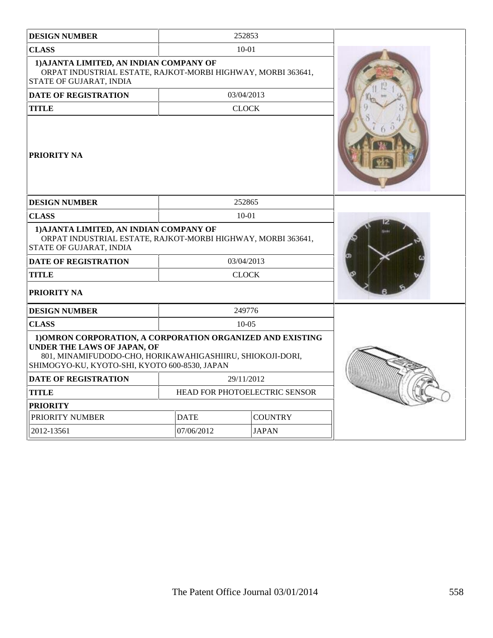| <b>DESIGN NUMBER</b>                                                                                                                                                                                           |                               | 252853   |                |  |
|----------------------------------------------------------------------------------------------------------------------------------------------------------------------------------------------------------------|-------------------------------|----------|----------------|--|
| <b>CLASS</b>                                                                                                                                                                                                   | $10-01$                       |          |                |  |
| 1) AJANTA LIMITED, AN INDIAN COMPANY OF<br>ORPAT INDUSTRIAL ESTATE, RAJKOT-MORBI HIGHWAY, MORBI 363641,<br>STATE OF GUJARAT, INDIA                                                                             |                               |          |                |  |
| <b>DATE OF REGISTRATION</b>                                                                                                                                                                                    | 03/04/2013                    |          |                |  |
| <b>TITLE</b><br><b>CLOCK</b>                                                                                                                                                                                   |                               |          |                |  |
| <b>PRIORITY NA</b>                                                                                                                                                                                             |                               |          |                |  |
| <b>DESIGN NUMBER</b>                                                                                                                                                                                           |                               | 252865   |                |  |
| <b>CLASS</b>                                                                                                                                                                                                   | $10 - 01$                     |          |                |  |
| 1) AJANTA LIMITED, AN INDIAN COMPANY OF<br>ORPAT INDUSTRIAL ESTATE, RAJKOT-MORBI HIGHWAY, MORBI 363641,<br><b>STATE OF GUJARAT, INDIA</b>                                                                      |                               |          |                |  |
| <b>DATE OF REGISTRATION</b>                                                                                                                                                                                    | 03/04/2013                    |          |                |  |
| <b>TITLE</b>                                                                                                                                                                                                   | <b>CLOCK</b>                  |          |                |  |
| <b>PRIORITY NA</b>                                                                                                                                                                                             |                               |          |                |  |
| <b>DESIGN NUMBER</b>                                                                                                                                                                                           |                               | 249776   |                |  |
| <b>CLASS</b>                                                                                                                                                                                                   |                               | $10-0.5$ |                |  |
| 1) OMRON CORPORATION, A CORPORATION ORGANIZED AND EXISTING<br><b>UNDER THE LAWS OF JAPAN, OF</b><br>801, MINAMIFUDODO-CHO, HORIKAWAHIGASHIIRU, SHIOKOJI-DORI,<br>SHIMOGYO-KU, KYOTO-SHI, KYOTO 600-8530, JAPAN |                               |          |                |  |
| <b>DATE OF REGISTRATION</b>                                                                                                                                                                                    | 29/11/2012                    |          |                |  |
| <b>TITLE</b>                                                                                                                                                                                                   | HEAD FOR PHOTOELECTRIC SENSOR |          |                |  |
| <b>PRIORITY</b>                                                                                                                                                                                                |                               |          |                |  |
| PRIORITY NUMBER                                                                                                                                                                                                | <b>DATE</b>                   |          | <b>COUNTRY</b> |  |
| 2012-13561                                                                                                                                                                                                     | 07/06/2012<br><b>JAPAN</b>    |          |                |  |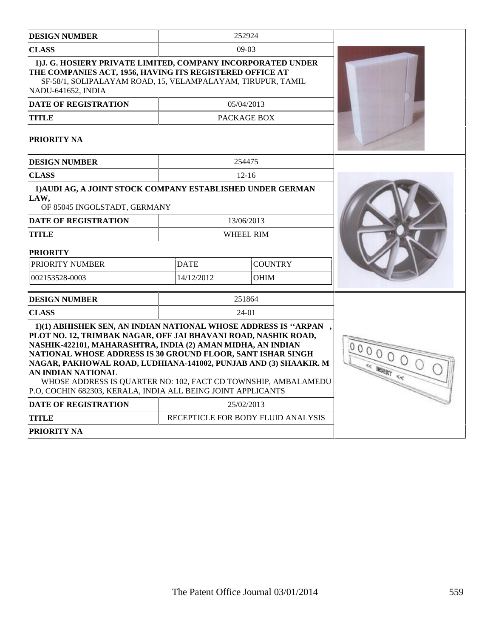| <b>DESIGN NUMBER</b>                                                                                                                                                                                                                                                                                                                                                                                                                                                                       |             | 252924                             |  |
|--------------------------------------------------------------------------------------------------------------------------------------------------------------------------------------------------------------------------------------------------------------------------------------------------------------------------------------------------------------------------------------------------------------------------------------------------------------------------------------------|-------------|------------------------------------|--|
| <b>CLASS</b>                                                                                                                                                                                                                                                                                                                                                                                                                                                                               |             | $09-03$                            |  |
| 1) J. G. HOSIERY PRIVATE LIMITED, COMPANY INCORPORATED UNDER<br>THE COMPANIES ACT, 1956, HAVING ITS REGISTERED OFFICE AT<br>SF-58/1, SOLIPALAYAM ROAD, 15, VELAMPALAYAM, TIRUPUR, TAMIL<br>NADU-641652, INDIA                                                                                                                                                                                                                                                                              |             |                                    |  |
| <b>DATE OF REGISTRATION</b>                                                                                                                                                                                                                                                                                                                                                                                                                                                                |             | 05/04/2013                         |  |
| <b>TITLE</b>                                                                                                                                                                                                                                                                                                                                                                                                                                                                               |             | PACKAGE BOX                        |  |
| <b>PRIORITY NA</b>                                                                                                                                                                                                                                                                                                                                                                                                                                                                         |             |                                    |  |
| <b>DESIGN NUMBER</b>                                                                                                                                                                                                                                                                                                                                                                                                                                                                       |             | 254475                             |  |
| <b>CLASS</b>                                                                                                                                                                                                                                                                                                                                                                                                                                                                               |             | $12 - 16$                          |  |
| 1) AUDI AG, A JOINT STOCK COMPANY ESTABLISHED UNDER GERMAN<br>LAW,<br>OF 85045 INGOLSTADT, GERMANY                                                                                                                                                                                                                                                                                                                                                                                         |             |                                    |  |
| <b>DATE OF REGISTRATION</b>                                                                                                                                                                                                                                                                                                                                                                                                                                                                |             | 13/06/2013                         |  |
| <b>TITLE</b>                                                                                                                                                                                                                                                                                                                                                                                                                                                                               |             | WHEEL RIM                          |  |
| <b>PRIORITY</b>                                                                                                                                                                                                                                                                                                                                                                                                                                                                            |             |                                    |  |
| PRIORITY NUMBER                                                                                                                                                                                                                                                                                                                                                                                                                                                                            | <b>DATE</b> | <b>COUNTRY</b>                     |  |
| 002153528-0003                                                                                                                                                                                                                                                                                                                                                                                                                                                                             | 14/12/2012  | <b>OHIM</b>                        |  |
| <b>DESIGN NUMBER</b>                                                                                                                                                                                                                                                                                                                                                                                                                                                                       |             | 251864                             |  |
| <b>CLASS</b>                                                                                                                                                                                                                                                                                                                                                                                                                                                                               |             | 24-01                              |  |
| 1)(1) ABHISHEK SEN, AN INDIAN NATIONAL WHOSE ADDRESS IS "ARPAN<br>PLOT NO. 12, TRIMBAK NAGAR, OFF JAI BHAVANI ROAD, NASHIK ROAD,<br>NASHIK-422101, MAHARASHTRA, INDIA (2) AMAN MIDHA, AN INDIAN<br>NATIONAL WHOSE ADDRESS IS 30 GROUND FLOOR, SANT ISHAR SINGH<br>NAGAR, PAKHOWAL ROAD, LUDHIANA-141002, PUNJAB AND (3) SHAAKIR. M<br>AN INDIAN NATIONAL<br>WHOSE ADDRESS IS QUARTER NO: 102, FACT CD TOWNSHIP, AMBALAMEDU<br>P.O, COCHIN 682303, KERALA, INDIA ALL BEING JOINT APPLICANTS |             |                                    |  |
| <b>DATE OF REGISTRATION</b>                                                                                                                                                                                                                                                                                                                                                                                                                                                                |             | 25/02/2013                         |  |
| <b>TITLE</b>                                                                                                                                                                                                                                                                                                                                                                                                                                                                               |             | RECEPTICLE FOR BODY FLUID ANALYSIS |  |
| <b>PRIORITY NA</b>                                                                                                                                                                                                                                                                                                                                                                                                                                                                         |             |                                    |  |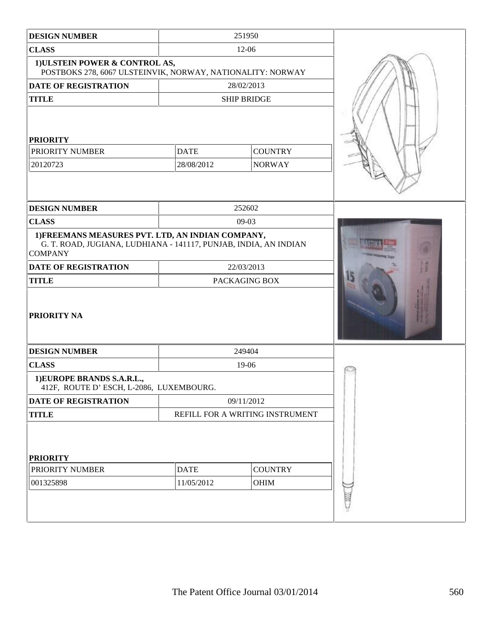| <b>DESIGN NUMBER</b>                                                                                                                    |             | 251950                          |  |
|-----------------------------------------------------------------------------------------------------------------------------------------|-------------|---------------------------------|--|
| <b>CLASS</b>                                                                                                                            |             |                                 |  |
| 1) ULSTEIN POWER & CONTROL AS,<br>POSTBOKS 278, 6067 ULSTEINVIK, NORWAY, NATIONALITY: NORWAY                                            |             |                                 |  |
| <b>DATE OF REGISTRATION</b>                                                                                                             |             | 28/02/2013                      |  |
| <b>TITLE</b>                                                                                                                            |             | <b>SHIP BRIDGE</b>              |  |
| <b>PRIORITY</b><br>PRIORITY NUMBER<br><b>DATE</b><br><b>COUNTRY</b><br>28/08/2012<br>20120723<br><b>NORWAY</b>                          |             |                                 |  |
| <b>DESIGN NUMBER</b>                                                                                                                    |             | 252602                          |  |
| <b>CLASS</b>                                                                                                                            |             | $09-03$                         |  |
| 1) FREEMANS MEASURES PVT. LTD, AN INDIAN COMPANY,<br>G. T. ROAD, JUGIANA, LUDHIANA - 141117, PUNJAB, INDIA, AN INDIAN<br><b>COMPANY</b> |             |                                 |  |
| <b>DATE OF REGISTRATION</b>                                                                                                             |             | 22/03/2013                      |  |
| <b>TITLE</b><br>PACKAGING BOX                                                                                                           |             |                                 |  |
| <b>PRIORITY NA</b>                                                                                                                      |             |                                 |  |
| <b>DESIGN NUMBER</b>                                                                                                                    |             | 249404                          |  |
| <b>CLASS</b>                                                                                                                            |             | 19-06                           |  |
| 1) EUROPE BRANDS S.A.R.L.,<br>412F, ROUTE D' ESCH, L-2086, LUXEMBOURG.                                                                  |             |                                 |  |
| DATE OF REGISTRATION                                                                                                                    |             | 09/11/2012                      |  |
| <b>TITLE</b>                                                                                                                            |             | REFILL FOR A WRITING INSTRUMENT |  |
| <b>PRIORITY</b>                                                                                                                         |             |                                 |  |
| PRIORITY NUMBER                                                                                                                         | <b>DATE</b> | <b>COUNTRY</b>                  |  |
| 001325898                                                                                                                               | 11/05/2012  | OHIM                            |  |
|                                                                                                                                         |             |                                 |  |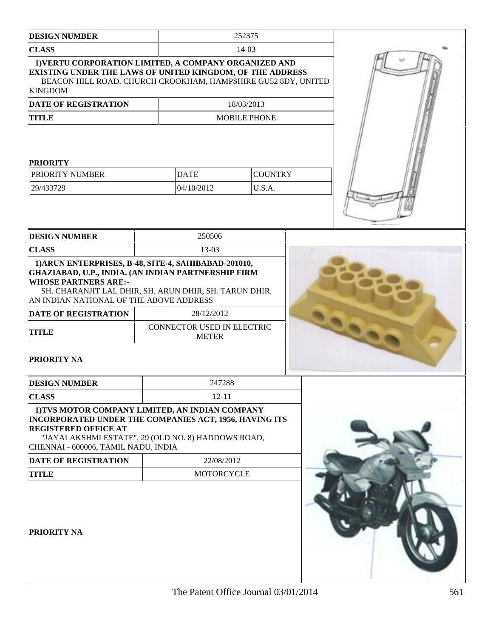| <b>DESIGN NUMBE</b> |  |
|---------------------|--|
|---------------------|--|

**CLASS** 14-03

**ER** 252375

| 1) VERTU CORPORATION LIMITED, A COMPANY ORGANIZED AND<br><b>EXISTING UNDER THE LAWS OF UNITED KINGDOM, OF THE ADDRESS</b><br>BEACON HILL ROAD, CHURCH CROOKHAM, HAMPSHIRE GU52 8DY, UNITED<br><b>KINGDOM</b>                                    |                                            |                           |                          |  |  |
|-------------------------------------------------------------------------------------------------------------------------------------------------------------------------------------------------------------------------------------------------|--------------------------------------------|---------------------------|--------------------------|--|--|
| DATE OF REGISTRATION                                                                                                                                                                                                                            |                                            |                           |                          |  |  |
| <b>TITLE</b>                                                                                                                                                                                                                                    |                                            |                           | <b>MOBILE PHONE</b>      |  |  |
| <b>PRIORITY</b><br><b>PRIORITY NUMBER</b><br>29/433729                                                                                                                                                                                          |                                            | <b>DATE</b><br>04/10/2012 | <b>COUNTRY</b><br>U.S.A. |  |  |
|                                                                                                                                                                                                                                                 |                                            |                           |                          |  |  |
| <b>DESIGN NUMBER</b>                                                                                                                                                                                                                            |                                            | 250506                    |                          |  |  |
| <b>CLASS</b>                                                                                                                                                                                                                                    |                                            | 13-03                     |                          |  |  |
| 1) ARUN ENTERPRISES, B-48, SITE-4, SAHIBABAD-201010,<br>GHAZIABAD, U.P., INDIA. (AN INDIAN PARTNERSHIP FIRM<br><b>WHOSE PARTNERS ARE:-</b><br>SH. CHARANJIT LAL DHIR, SH. ARUN DHIR, SH. TARUN DHIR.<br>AN INDIAN NATIONAL OF THE ABOVE ADDRESS |                                            |                           |                          |  |  |
| <b>DATE OF REGISTRATION</b>                                                                                                                                                                                                                     | 28/12/2012                                 |                           |                          |  |  |
| <b>TITLE</b>                                                                                                                                                                                                                                    | CONNECTOR USED IN ELECTRIC<br><b>METER</b> |                           |                          |  |  |
| <b>PRIORITY NA</b>                                                                                                                                                                                                                              |                                            |                           |                          |  |  |
| <b>DESIGN NUMBER</b>                                                                                                                                                                                                                            |                                            | 247288                    |                          |  |  |
| <b>CLASS</b>                                                                                                                                                                                                                                    | $12 - 11$                                  |                           |                          |  |  |
| 1) TVS MOTOR COMPANY LIMITED, AN INDIAN COMPANY<br>INCORPORATED UNDER THE COMPANIES ACT, 1956, HAVING ITS<br><b>REGISTERED OFFICE AT</b><br>"JAYALAKSHMI ESTATE", 29 (OLD NO. 8) HADDOWS ROAD,<br>CHENNAI - 600006, TAMIL NADU, INDIA           |                                            |                           |                          |  |  |
| DATE OF REGISTRATION                                                                                                                                                                                                                            | 22/08/2012                                 |                           |                          |  |  |
| <b>TITLE</b>                                                                                                                                                                                                                                    |                                            | <b>MOTORCYCLE</b>         |                          |  |  |
| PRIORITY NA                                                                                                                                                                                                                                     |                                            |                           |                          |  |  |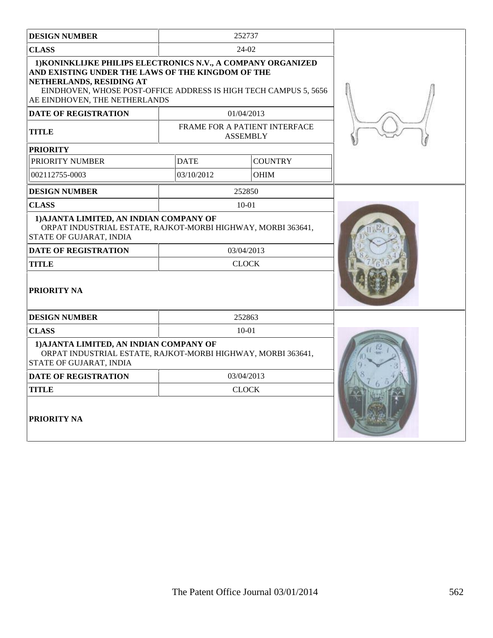| <b>DESIGN NUMBER</b>                                                                                                                                                                                                                               |              | 252737                                           |  |
|----------------------------------------------------------------------------------------------------------------------------------------------------------------------------------------------------------------------------------------------------|--------------|--------------------------------------------------|--|
| <b>CLASS</b>                                                                                                                                                                                                                                       |              | $24-02$                                          |  |
| 1) KONINKLIJKE PHILIPS ELECTRONICS N.V., A COMPANY ORGANIZED<br>AND EXISTING UNDER THE LAWS OF THE KINGDOM OF THE<br>NETHERLANDS, RESIDING AT<br>EINDHOVEN, WHOSE POST-OFFICE ADDRESS IS HIGH TECH CAMPUS 5, 5656<br>AE EINDHOVEN, THE NETHERLANDS |              |                                                  |  |
| <b>DATE OF REGISTRATION</b>                                                                                                                                                                                                                        |              | 01/04/2013                                       |  |
| <b>TITLE</b>                                                                                                                                                                                                                                       |              | FRAME FOR A PATIENT INTERFACE<br><b>ASSEMBLY</b> |  |
| <b>PRIORITY</b>                                                                                                                                                                                                                                    |              |                                                  |  |
| PRIORITY NUMBER                                                                                                                                                                                                                                    | <b>DATE</b>  | <b>COUNTRY</b>                                   |  |
| 002112755-0003                                                                                                                                                                                                                                     | 03/10/2012   | <b>OHIM</b>                                      |  |
| <b>DESIGN NUMBER</b>                                                                                                                                                                                                                               |              | 252850                                           |  |
| <b>CLASS</b>                                                                                                                                                                                                                                       |              | $10 - 01$                                        |  |
| 1) AJANTA LIMITED, AN INDIAN COMPANY OF<br>ORPAT INDUSTRIAL ESTATE, RAJKOT-MORBI HIGHWAY, MORBI 363641,<br>STATE OF GUJARAT, INDIA                                                                                                                 |              |                                                  |  |
| <b>DATE OF REGISTRATION</b>                                                                                                                                                                                                                        | 03/04/2013   |                                                  |  |
| <b>TITLE</b>                                                                                                                                                                                                                                       | <b>CLOCK</b> |                                                  |  |
| PRIORITY NA                                                                                                                                                                                                                                        |              |                                                  |  |
| <b>DESIGN NUMBER</b>                                                                                                                                                                                                                               |              | 252863                                           |  |
| <b>CLASS</b>                                                                                                                                                                                                                                       |              | $10 - 01$                                        |  |
| 1) AJANTA LIMITED, AN INDIAN COMPANY OF<br>ORPAT INDUSTRIAL ESTATE, RAJKOT-MORBI HIGHWAY, MORBI 363641,<br>STATE OF GUJARAT, INDIA                                                                                                                 |              |                                                  |  |
| <b>DATE OF REGISTRATION</b>                                                                                                                                                                                                                        |              | 03/04/2013                                       |  |
| <b>CLOCK</b><br><b>TITLE</b>                                                                                                                                                                                                                       |              |                                                  |  |
| <b>PRIORITY NA</b>                                                                                                                                                                                                                                 |              |                                                  |  |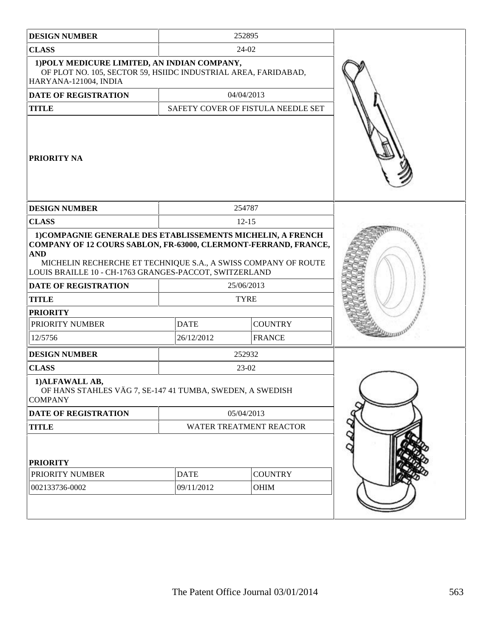| <b>DESIGN NUMBER</b>                                                                                                                                                                                                                                                                                    |             | 252895                             |  |
|---------------------------------------------------------------------------------------------------------------------------------------------------------------------------------------------------------------------------------------------------------------------------------------------------------|-------------|------------------------------------|--|
| <b>CLASS</b>                                                                                                                                                                                                                                                                                            |             | 24-02                              |  |
| 1) POLY MEDICURE LIMITED, AN INDIAN COMPANY,<br>OF PLOT NO. 105, SECTOR 59, HSIIDC INDUSTRIAL AREA, FARIDABAD,<br>HARYANA-121004, INDIA                                                                                                                                                                 |             |                                    |  |
| <b>DATE OF REGISTRATION</b>                                                                                                                                                                                                                                                                             |             | 04/04/2013                         |  |
| <b>TITLE</b>                                                                                                                                                                                                                                                                                            |             | SAFETY COVER OF FISTULA NEEDLE SET |  |
| <b>PRIORITY NA</b>                                                                                                                                                                                                                                                                                      |             |                                    |  |
| <b>DESIGN NUMBER</b>                                                                                                                                                                                                                                                                                    |             | 254787                             |  |
| <b>CLASS</b>                                                                                                                                                                                                                                                                                            |             | $12 - 15$                          |  |
| 1) COMPAGNIE GENERALE DES ETABLISSEMENTS MICHELIN, A FRENCH<br>COMPANY OF 12 COURS SABLON, FR-63000, CLERMONT-FERRAND, FRANCE,<br><b>AND</b><br>MICHELIN RECHERCHE ET TECHNIQUE S.A., A SWISS COMPANY OF ROUTE<br>LOUIS BRAILLE 10 - CH-1763 GRANGES-PACCOT, SWITZERLAND<br><b>DATE OF REGISTRATION</b> |             |                                    |  |
| <b>TITLE</b>                                                                                                                                                                                                                                                                                            |             | <b>TYRE</b>                        |  |
| <b>PRIORITY</b>                                                                                                                                                                                                                                                                                         |             |                                    |  |
| PRIORITY NUMBER                                                                                                                                                                                                                                                                                         | <b>DATE</b> | <b>COUNTRY</b>                     |  |
| 12/5756                                                                                                                                                                                                                                                                                                 | 26/12/2012  | <b>FRANCE</b>                      |  |
| <b>DESIGN NUMBER</b>                                                                                                                                                                                                                                                                                    |             | 252932                             |  |
| <b>CLASS</b>                                                                                                                                                                                                                                                                                            |             | 23-02                              |  |
| 1) ALFAWALL AB,<br>OF HANS STAHLES VÄG 7, SE-147 41 TUMBA, SWEDEN, A SWEDISH<br><b>COMPANY</b>                                                                                                                                                                                                          |             |                                    |  |
| DATE OF REGISTRATION                                                                                                                                                                                                                                                                                    |             | 05/04/2013                         |  |
| <b>TITLE</b>                                                                                                                                                                                                                                                                                            |             | WATER TREATMENT REACTOR            |  |
| <b>PRIORITY</b>                                                                                                                                                                                                                                                                                         |             |                                    |  |
| PRIORITY NUMBER                                                                                                                                                                                                                                                                                         | <b>DATE</b> | <b>COUNTRY</b>                     |  |
| 002133736-0002                                                                                                                                                                                                                                                                                          | 09/11/2012  | <b>OHIM</b>                        |  |
|                                                                                                                                                                                                                                                                                                         |             |                                    |  |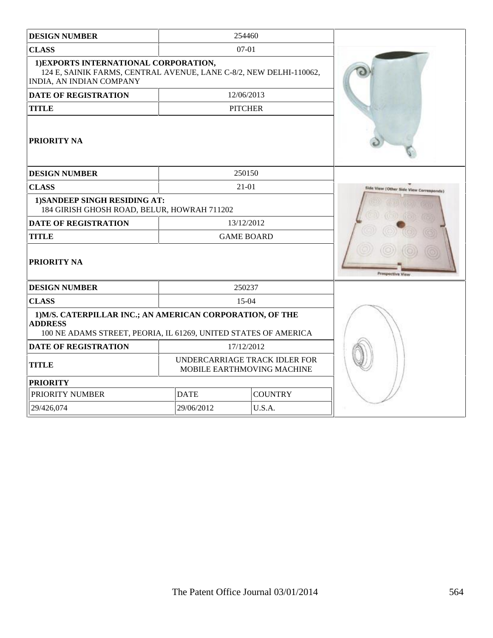| <b>DESIGN NUMBER</b>                                                                                                                           |                                                             | 254460         |                                        |
|------------------------------------------------------------------------------------------------------------------------------------------------|-------------------------------------------------------------|----------------|----------------------------------------|
| <b>CLASS</b>                                                                                                                                   | 07-01                                                       |                |                                        |
| 1) EXPORTS INTERNATIONAL CORPORATION,<br>124 E, SAINIK FARMS, CENTRAL AVENUE, LANE C-8/2, NEW DELHI-110062,<br><b>INDIA, AN INDIAN COMPANY</b> |                                                             |                |                                        |
| <b>DATE OF REGISTRATION</b>                                                                                                                    | 12/06/2013                                                  |                |                                        |
| <b>TITLE</b>                                                                                                                                   | <b>PITCHER</b>                                              |                |                                        |
| <b>PRIORITY NA</b>                                                                                                                             |                                                             |                |                                        |
| <b>DESIGN NUMBER</b>                                                                                                                           |                                                             | 250150         |                                        |
| <b>CLASS</b>                                                                                                                                   |                                                             | $21-01$        | Side View (Other Side View Corresponds |
| 1) SANDEEP SINGH RESIDING AT:<br>184 GIRISH GHOSH ROAD, BELUR, HOWRAH 711202                                                                   |                                                             |                |                                        |
| <b>DATE OF REGISTRATION</b>                                                                                                                    | 13/12/2012                                                  |                |                                        |
| <b>TITLE</b>                                                                                                                                   | <b>GAME BOARD</b>                                           |                |                                        |
| PRIORITY NA                                                                                                                                    |                                                             |                |                                        |
| <b>DESIGN NUMBER</b>                                                                                                                           |                                                             | 250237         |                                        |
| <b>CLASS</b>                                                                                                                                   |                                                             | 15-04          |                                        |
| 1) M/S. CATERPILLAR INC.; AN AMERICAN CORPORATION, OF THE<br><b>ADDRESS</b><br>100 NE ADAMS STREET, PEORIA, IL 61269, UNITED STATES OF AMERICA |                                                             |                |                                        |
| <b>DATE OF REGISTRATION</b>                                                                                                                    | 17/12/2012                                                  |                |                                        |
| <b>TITLE</b>                                                                                                                                   | UNDERCARRIAGE TRACK IDLER FOR<br>MOBILE EARTHMOVING MACHINE |                |                                        |
| <b>PRIORITY</b>                                                                                                                                |                                                             |                |                                        |
| PRIORITY NUMBER                                                                                                                                | <b>DATE</b>                                                 | <b>COUNTRY</b> |                                        |
| 29/06/2012<br>U.S.A.<br>29/426,074                                                                                                             |                                                             |                |                                        |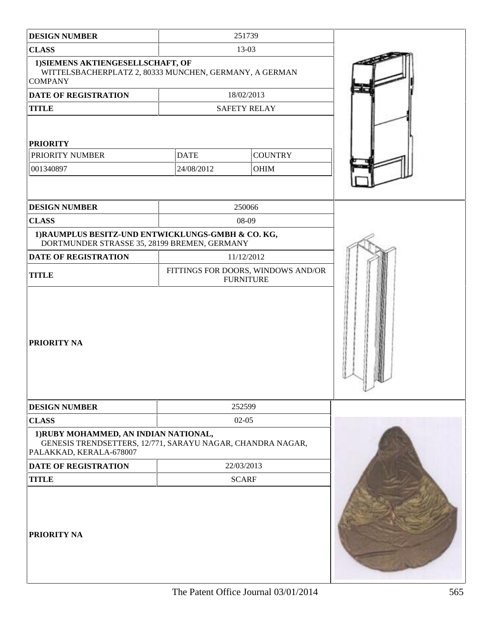| <b>DESIGN NUMBER</b>                                                                                                           | 251739                                                 |                        |  |
|--------------------------------------------------------------------------------------------------------------------------------|--------------------------------------------------------|------------------------|--|
| <b>CLASS</b>                                                                                                                   | 13-03                                                  |                        |  |
| 1) SIEMENS AKTIENGESELLSCHAFT, OF<br>WITTELSBACHERPLATZ 2, 80333 MUNCHEN, GERMANY, A GERMAN<br><b>COMPANY</b>                  |                                                        |                        |  |
| <b>DATE OF REGISTRATION</b>                                                                                                    | 18/02/2013                                             |                        |  |
| <b>TITLE</b>                                                                                                                   | <b>SAFETY RELAY</b>                                    |                        |  |
| <b>PRIORITY</b><br>PRIORITY NUMBER<br>001340897                                                                                | <b>DATE</b><br>24/08/2012                              | <b>COUNTRY</b><br>OHIM |  |
| <b>DESIGN NUMBER</b>                                                                                                           | 250066                                                 |                        |  |
| <b>CLASS</b>                                                                                                                   | 08-09                                                  |                        |  |
| 1) RAUMPLUS BESITZ-UND ENTWICKLUNGS-GMBH & CO. KG,<br>DORTMUNDER STRASSE 35, 28199 BREMEN, GERMANY                             |                                                        |                        |  |
| <b>DATE OF REGISTRATION</b>                                                                                                    | 11/12/2012                                             |                        |  |
| <b>TITLE</b>                                                                                                                   | FITTINGS FOR DOORS, WINDOWS AND/OR<br><b>FURNITURE</b> |                        |  |
| <b>PRIORITY NA</b>                                                                                                             |                                                        |                        |  |
| <b>DESIGN NUMBER</b>                                                                                                           | 252599                                                 |                        |  |
| <b>CLASS</b>                                                                                                                   | $02-05$                                                |                        |  |
| 1) RUBY MOHAMMED, AN INDIAN NATIONAL,<br>GENESIS TRENDSETTERS, 12/771, SARAYU NAGAR, CHANDRA NAGAR,<br>PALAKKAD, KERALA-678007 |                                                        |                        |  |
| <b>DATE OF REGISTRATION</b>                                                                                                    | 22/03/2013                                             |                        |  |
| <b>TITLE</b>                                                                                                                   | <b>SCARF</b>                                           |                        |  |
| <b>PRIORITY NA</b>                                                                                                             |                                                        |                        |  |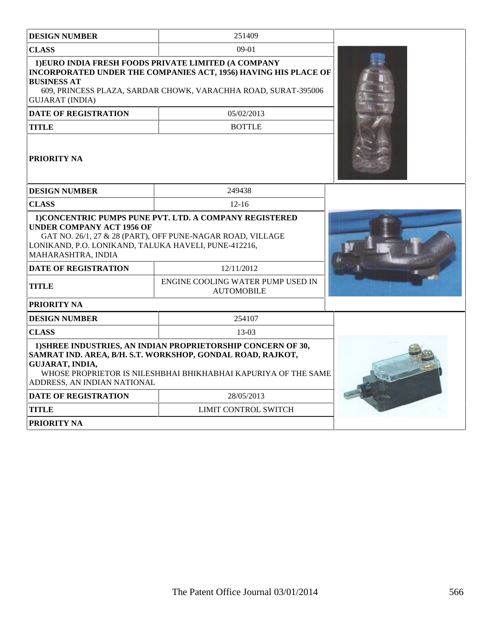| <b>DESIGN NUMBER</b>                                                                                           | 251409                                                                                                                                                                                       |  |
|----------------------------------------------------------------------------------------------------------------|----------------------------------------------------------------------------------------------------------------------------------------------------------------------------------------------|--|
| <b>CLASS</b>                                                                                                   | $09-01$                                                                                                                                                                                      |  |
| <b>BUSINESS AT</b><br><b>GUJARAT (INDIA)</b>                                                                   | 1) EURO INDIA FRESH FOODS PRIVATE LIMITED (A COMPANY<br>INCORPORATED UNDER THE COMPANIES ACT, 1956) HAVING HIS PLACE OF<br>609, PRINCESS PLAZA, SARDAR CHOWK, VARACHHA ROAD, SURAT-395006    |  |
| <b>DATE OF REGISTRATION</b>                                                                                    | 05/02/2013                                                                                                                                                                                   |  |
| TITLE                                                                                                          | <b>BOTTLE</b>                                                                                                                                                                                |  |
| <b>PRIORITY NA</b>                                                                                             |                                                                                                                                                                                              |  |
| <b>DESIGN NUMBER</b>                                                                                           | 249438                                                                                                                                                                                       |  |
| <b>CLASS</b>                                                                                                   | $12 - 16$                                                                                                                                                                                    |  |
| <b>UNDER COMPANY ACT 1956 OF</b><br>LONIKAND, P.O. LONIKAND, TALUKA HAVELI, PUNE-412216,<br>MAHARASHTRA, INDIA | 1) CONCENTRIC PUMPS PUNE PVT. LTD. A COMPANY REGISTERED<br>GAT NO. 26/1, 27 & 28 (PART), OFF PUNE-NAGAR ROAD, VILLAGE                                                                        |  |
| <b>DATE OF REGISTRATION</b>                                                                                    | 12/11/2012                                                                                                                                                                                   |  |
| TITLE                                                                                                          | ENGINE COOLING WATER PUMP USED IN<br><b>AUTOMOBILE</b>                                                                                                                                       |  |
| PRIORITY NA                                                                                                    |                                                                                                                                                                                              |  |
| <b>DESIGN NUMBER</b>                                                                                           | 254107                                                                                                                                                                                       |  |
| <b>CLASS</b>                                                                                                   | 13-03                                                                                                                                                                                        |  |
| GUJARAT, INDIA,<br>ADDRESS. AN INDIAN NATIONAL                                                                 | 1) SHREE INDUSTRIES, AN INDIAN PROPRIETORSHIP CONCERN OF 30,<br>SAMRAT IND. AREA, B/H. S.T. WORKSHOP, GONDAL ROAD, RAJKOT,<br>WHOSE PROPRIETOR IS NILESHBHAI BHIKHABHAI KAPURIYA OF THE SAME |  |
| <b>DATE OF REGISTRATION</b>                                                                                    | 28/05/2013                                                                                                                                                                                   |  |
| TITLE                                                                                                          | LIMIT CONTROL SWITCH                                                                                                                                                                         |  |
| <b>PRIORITY NA</b>                                                                                             |                                                                                                                                                                                              |  |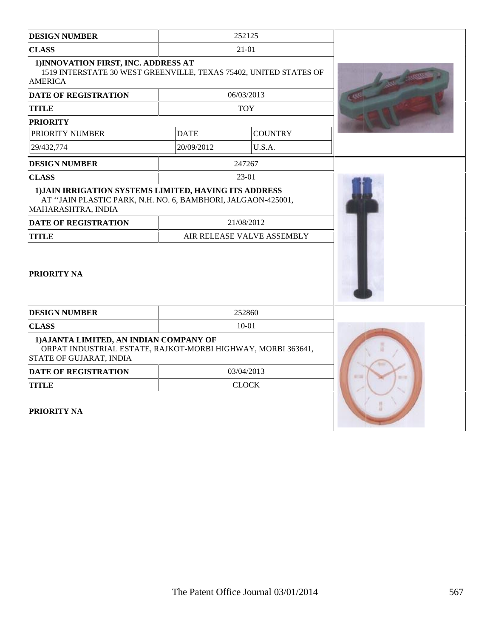| <b>DESIGN NUMBER</b>                                                                                                                         | 252125                     |                |             |
|----------------------------------------------------------------------------------------------------------------------------------------------|----------------------------|----------------|-------------|
| <b>CLASS</b>                                                                                                                                 | 21-01                      |                |             |
| 1) INNOVATION FIRST, INC. ADDRESS AT<br>1519 INTERSTATE 30 WEST GREENVILLE, TEXAS 75402, UNITED STATES OF<br><b>AMERICA</b>                  |                            |                |             |
| <b>DATE OF REGISTRATION</b>                                                                                                                  | 06/03/2013                 |                |             |
| <b>TITLE</b>                                                                                                                                 | <b>TOY</b>                 |                |             |
| <b>PRIORITY</b>                                                                                                                              |                            |                |             |
| PRIORITY NUMBER                                                                                                                              | <b>DATE</b>                | <b>COUNTRY</b> |             |
| 29/432,774                                                                                                                                   | 20/09/2012                 | U.S.A.         |             |
| <b>DESIGN NUMBER</b>                                                                                                                         | 247267                     |                |             |
| <b>CLASS</b>                                                                                                                                 | 23-01                      |                |             |
| 1) JAIN IRRIGATION SYSTEMS LIMITED, HAVING ITS ADDRESS<br>AT "JAIN PLASTIC PARK, N.H. NO. 6, BAMBHORI, JALGAON-425001,<br>MAHARASHTRA, INDIA |                            |                |             |
| <b>DATE OF REGISTRATION</b>                                                                                                                  | 21/08/2012                 |                |             |
| <b>TITLE</b>                                                                                                                                 | AIR RELEASE VALVE ASSEMBLY |                |             |
| <b>PRIORITY NA</b>                                                                                                                           |                            |                |             |
| <b>DESIGN NUMBER</b>                                                                                                                         | 252860                     |                |             |
| <b>CLASS</b>                                                                                                                                 | $10 - 01$                  |                |             |
| 1) AJANTA LIMITED, AN INDIAN COMPANY OF<br>ORPAT INDUSTRIAL ESTATE, RAJKOT-MORBI HIGHWAY, MORBI 363641,<br><b>STATE OF GUJARAT, INDIA</b>    |                            |                |             |
| <b>DATE OF REGISTRATION</b>                                                                                                                  | 03/04/2013                 |                | 47.7<br>$=$ |
| <b>TITLE</b>                                                                                                                                 | <b>CLOCK</b>               |                |             |
| <b>PRIORITY NA</b>                                                                                                                           |                            |                |             |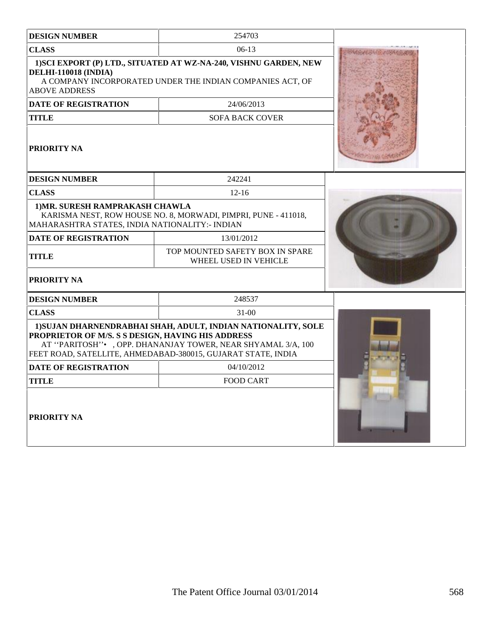| <b>DESIGN NUMBER</b>                                                               | 254703                                                                                                                                                                                         |  |
|------------------------------------------------------------------------------------|------------------------------------------------------------------------------------------------------------------------------------------------------------------------------------------------|--|
| <b>CLASS</b>                                                                       | $06-13$                                                                                                                                                                                        |  |
| <b>DELHI-110018 (INDIA)</b><br><b>ABOVE ADDRESS</b>                                | 1) SCI EXPORT (P) LTD., SITUATED AT WZ-NA-240, VISHNU GARDEN, NEW<br>A COMPANY INCORPORATED UNDER THE INDIAN COMPANIES ACT, OF                                                                 |  |
| <b>DATE OF REGISTRATION</b>                                                        | 24/06/2013                                                                                                                                                                                     |  |
| TITLE                                                                              | <b>SOFA BACK COVER</b>                                                                                                                                                                         |  |
| PRIORITY NA                                                                        |                                                                                                                                                                                                |  |
| <b>DESIGN NUMBER</b>                                                               | 242241                                                                                                                                                                                         |  |
| <b>CLASS</b>                                                                       | $12-16$                                                                                                                                                                                        |  |
| 1) MR. SURESH RAMPRAKASH CHAWLA<br>MAHARASHTRA STATES, INDIA NATIONALITY: - INDIAN | KARISMA NEST, ROW HOUSE NO. 8, MORWADI, PIMPRI, PUNE - 411018,                                                                                                                                 |  |
| <b>DATE OF REGISTRATION</b>                                                        | 13/01/2012                                                                                                                                                                                     |  |
| <b>TITLE</b>                                                                       | TOP MOUNTED SAFETY BOX IN SPARE<br>WHEEL USED IN VEHICLE                                                                                                                                       |  |
| <b>PRIORITY NA</b>                                                                 |                                                                                                                                                                                                |  |
| <b>DESIGN NUMBER</b>                                                               | 248537                                                                                                                                                                                         |  |
| <b>CLASS</b>                                                                       | $31 - 00$                                                                                                                                                                                      |  |
| PROPRIETOR OF M/S. S S DESIGN, HAVING HIS ADDRESS                                  | 1) SUJAN DHARNENDRABHAI SHAH, ADULT, INDIAN NATIONALITY, SOLE<br>AT "PARITOSH" • , OPP. DHANANJAY TOWER, NEAR SHYAMAL 3/A, 100<br>FEET ROAD, SATELLITE, AHMEDABAD-380015, GUJARAT STATE, INDIA |  |
| <b>DATE OF REGISTRATION</b>                                                        | 04/10/2012                                                                                                                                                                                     |  |
| TITLE                                                                              | <b>FOOD CART</b>                                                                                                                                                                               |  |
| PRIORITY NA                                                                        |                                                                                                                                                                                                |  |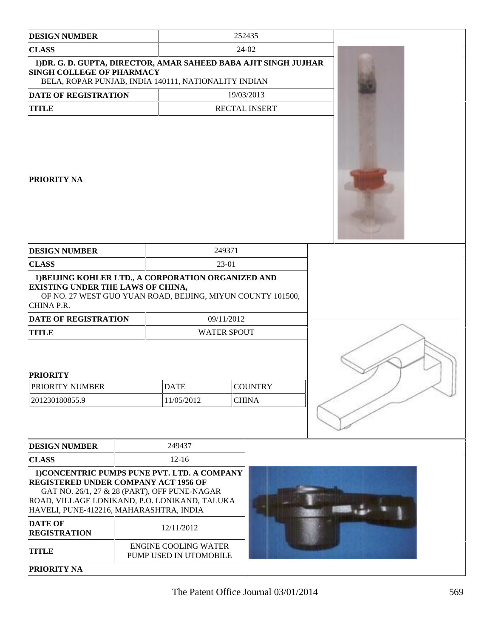| <b>DESIGN NUMBER</b>                                                                                                                                                                                                             |                                                       |                    | 252435                         |  |
|----------------------------------------------------------------------------------------------------------------------------------------------------------------------------------------------------------------------------------|-------------------------------------------------------|--------------------|--------------------------------|--|
| <b>CLASS</b>                                                                                                                                                                                                                     |                                                       |                    | 24-02                          |  |
| 1) DR. G. D. GUPTA, DIRECTOR, AMAR SAHEED BABA AJIT SINGH JUJHAR<br>SINGH COLLEGE OF PHARMACY<br>BELA, ROPAR PUNJAB, INDIA 140111, NATIONALITY INDIAN                                                                            |                                                       |                    |                                |  |
| <b>DATE OF REGISTRATION</b>                                                                                                                                                                                                      |                                                       |                    | 19/03/2013                     |  |
| <b>TITLE</b>                                                                                                                                                                                                                     |                                                       |                    | RECTAL INSERT                  |  |
| <b>PRIORITY NA</b>                                                                                                                                                                                                               |                                                       |                    |                                |  |
| <b>DESIGN NUMBER</b>                                                                                                                                                                                                             |                                                       | 249371             |                                |  |
| <b>CLASS</b>                                                                                                                                                                                                                     |                                                       | 23-01              |                                |  |
| 1) BELJING KOHLER LTD., A CORPORATION ORGANIZED AND<br><b>EXISTING UNDER THE LAWS OF CHINA,</b><br>OF NO. 27 WEST GUO YUAN ROAD, BEIJING, MIYUN COUNTY 101500,<br>CHINA P.R.                                                     |                                                       |                    |                                |  |
| DATE OF REGISTRATION                                                                                                                                                                                                             |                                                       | 09/11/2012         |                                |  |
| <b>TITLE</b>                                                                                                                                                                                                                     |                                                       | <b>WATER SPOUT</b> |                                |  |
| <b>PRIORITY</b><br><b>PRIORITY NUMBER</b><br>201230180855.9                                                                                                                                                                      | <b>DATE</b><br>11/05/2012                             |                    | <b>COUNTRY</b><br><b>CHINA</b> |  |
| <b>DESIGN NUMBER</b>                                                                                                                                                                                                             | 249437                                                |                    |                                |  |
| <b>CLASS</b>                                                                                                                                                                                                                     | $12 - 16$                                             |                    |                                |  |
| 1) CONCENTRIC PUMPS PUNE PVT. LTD. A COMPANY<br>REGISTERED UNDER COMPANY ACT 1956 OF<br>GAT NO. 26/1, 27 & 28 (PART), OFF PUNE-NAGAR<br>ROAD, VILLAGE LONIKAND, P.O. LONIKAND, TALUKA<br>HAVELI, PUNE-412216, MAHARASHTRA, INDIA |                                                       |                    |                                |  |
| <b>DATE OF</b><br><b>REGISTRATION</b>                                                                                                                                                                                            | 12/11/2012                                            |                    |                                |  |
| <b>TITLE</b>                                                                                                                                                                                                                     | <b>ENGINE COOLING WATER</b><br>PUMP USED IN UTOMOBILE |                    |                                |  |
| PRIORITY NA                                                                                                                                                                                                                      |                                                       |                    |                                |  |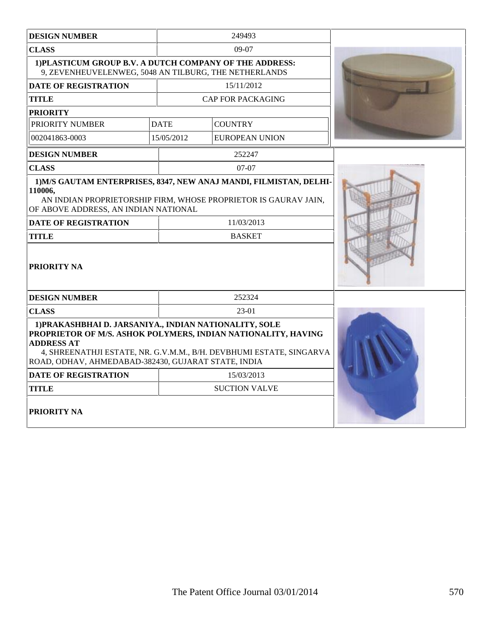| <b>DESIGN NUMBER</b>                                                                                                                                                                                                                                                       | 249493      |                          |  |
|----------------------------------------------------------------------------------------------------------------------------------------------------------------------------------------------------------------------------------------------------------------------------|-------------|--------------------------|--|
| <b>CLASS</b>                                                                                                                                                                                                                                                               |             | $09-07$                  |  |
| 1) PLASTICUM GROUP B.V. A DUTCH COMPANY OF THE ADDRESS:<br>9, ZEVENHEUVELENWEG, 5048 AN TILBURG, THE NETHERLANDS                                                                                                                                                           |             |                          |  |
| <b>DATE OF REGISTRATION</b>                                                                                                                                                                                                                                                |             | 15/11/2012               |  |
| <b>TITLE</b>                                                                                                                                                                                                                                                               |             | <b>CAP FOR PACKAGING</b> |  |
| <b>PRIORITY</b>                                                                                                                                                                                                                                                            |             |                          |  |
| PRIORITY NUMBER                                                                                                                                                                                                                                                            | <b>DATE</b> | <b>COUNTRY</b>           |  |
| 002041863-0003                                                                                                                                                                                                                                                             | 15/05/2012  | <b>EUROPEAN UNION</b>    |  |
| <b>DESIGN NUMBER</b>                                                                                                                                                                                                                                                       |             | 252247                   |  |
| <b>CLASS</b>                                                                                                                                                                                                                                                               |             | $07-07$                  |  |
| 1) M/S GAUTAM ENTERPRISES, 8347, NEW ANAJ MANDI, FILMISTAN, DELHI-<br>110006,<br>AN INDIAN PROPRIETORSHIP FIRM, WHOSE PROPRIETOR IS GAURAV JAIN,<br>OF ABOVE ADDRESS, AN INDIAN NATIONAL<br>11/03/2013<br><b>DATE OF REGISTRATION</b><br><b>TITLE</b><br><b>BASKET</b>     |             |                          |  |
| <b>PRIORITY NA</b><br><b>DESIGN NUMBER</b>                                                                                                                                                                                                                                 |             | 252324                   |  |
| <b>CLASS</b>                                                                                                                                                                                                                                                               |             | 23-01                    |  |
| 1) PRAKASHBHAI D. JARSANIYA., INDIAN NATIONALITY, SOLE<br>PROPRIETOR OF M/S. ASHOK POLYMERS, INDIAN NATIONALITY, HAVING<br><b>ADDRESS AT</b><br>4, SHREENATHJI ESTATE, NR. G.V.M.M., B/H. DEVBHUMI ESTATE, SINGARVA<br>ROAD, ODHAV, AHMEDABAD-382430, GUJARAT STATE, INDIA |             |                          |  |
| <b>DATE OF REGISTRATION</b>                                                                                                                                                                                                                                                |             | 15/03/2013               |  |
| <b>TITLE</b>                                                                                                                                                                                                                                                               |             | <b>SUCTION VALVE</b>     |  |
| <b>PRIORITY NA</b>                                                                                                                                                                                                                                                         |             |                          |  |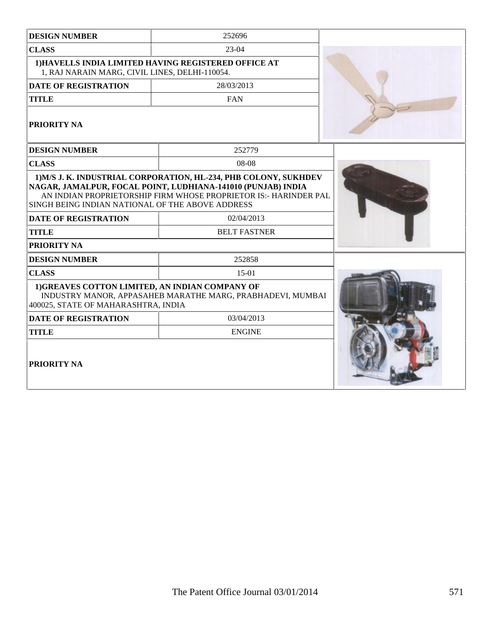| <b>DESIGN NUMBER</b>                                                                                                  | 252696                                                                                                                                                                |  |
|-----------------------------------------------------------------------------------------------------------------------|-----------------------------------------------------------------------------------------------------------------------------------------------------------------------|--|
| <b>CLASS</b>                                                                                                          | $23 - 04$                                                                                                                                                             |  |
| 1, RAJ NARAIN MARG, CIVIL LINES, DELHI-110054.                                                                        | 1) HAVELLS INDIA LIMITED HAVING REGISTERED OFFICE AT                                                                                                                  |  |
| <b>DATE OF REGISTRATION</b>                                                                                           | 28/03/2013                                                                                                                                                            |  |
| <b>TITLE</b>                                                                                                          | <b>FAN</b>                                                                                                                                                            |  |
| PRIORITY NA                                                                                                           |                                                                                                                                                                       |  |
| <b>DESIGN NUMBER</b>                                                                                                  | 252779                                                                                                                                                                |  |
| <b>CLASS</b>                                                                                                          | $08-08$                                                                                                                                                               |  |
| SINGH BEING INDIAN NATIONAL OF THE ABOVE ADDRESS<br><b>DATE OF REGISTRATION</b><br><b>TITLE</b><br><b>PRIORITY NA</b> | NAGAR, JAMALPUR, FOCAL POINT, LUDHIANA-141010 (PUNJAB) INDIA<br>AN INDIAN PROPRIETORSHIP FIRM WHOSE PROPRIETOR IS:- HARINDER PAL<br>02/04/2013<br><b>BELT FASTNER</b> |  |
| <b>DESIGN NUMBER</b>                                                                                                  | 252858                                                                                                                                                                |  |
| <b>CLASS</b>                                                                                                          | $15-01$                                                                                                                                                               |  |
| 1)GREAVES COTTON LIMITED, AN INDIAN COMPANY OF<br>400025, STATE OF MAHARASHTRA, INDIA                                 | INDUSTRY MANOR, APPASAHEB MARATHE MARG, PRABHADEVI, MUMBAI                                                                                                            |  |
| <b>DATE OF REGISTRATION</b>                                                                                           | 03/04/2013                                                                                                                                                            |  |
| <b>TITLE</b>                                                                                                          | <b>ENGINE</b>                                                                                                                                                         |  |
| PRIORITY NA                                                                                                           |                                                                                                                                                                       |  |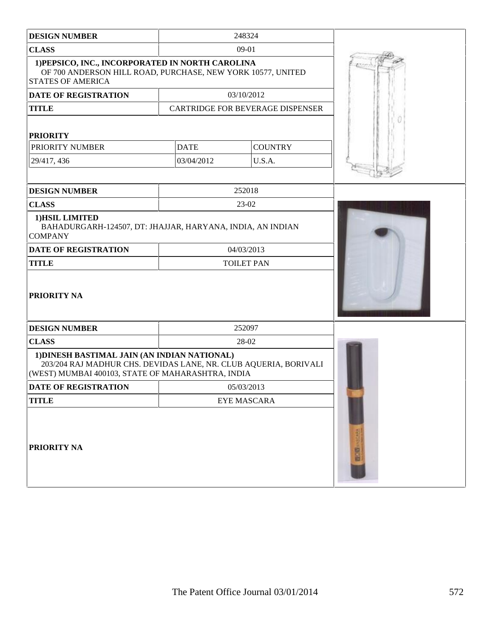| <b>DESIGN NUMBER</b>                                                                                                                                                  |             | 248324                           |  |
|-----------------------------------------------------------------------------------------------------------------------------------------------------------------------|-------------|----------------------------------|--|
| <b>CLASS</b>                                                                                                                                                          |             | 09-01                            |  |
| 1) PEPSICO, INC., INCORPORATED IN NORTH CAROLINA<br>OF 700 ANDERSON HILL ROAD, PURCHASE, NEW YORK 10577, UNITED<br><b>STATES OF AMERICA</b>                           |             |                                  |  |
| DATE OF REGISTRATION                                                                                                                                                  |             | 03/10/2012                       |  |
| <b>TITLE</b>                                                                                                                                                          |             | CARTRIDGE FOR BEVERAGE DISPENSER |  |
| <b>PRIORITY</b>                                                                                                                                                       |             |                                  |  |
| PRIORITY NUMBER                                                                                                                                                       | <b>DATE</b> | <b>COUNTRY</b>                   |  |
| 29/417, 436                                                                                                                                                           | 03/04/2012  | U.S.A.                           |  |
|                                                                                                                                                                       |             |                                  |  |
| <b>DESIGN NUMBER</b>                                                                                                                                                  |             | 252018                           |  |
| <b>CLASS</b>                                                                                                                                                          |             | 23-02                            |  |
| 1) HSIL LIMITED<br>BAHADURGARH-124507, DT: JHAJJAR, HARYANA, INDIA, AN INDIAN<br><b>COMPANY</b>                                                                       |             |                                  |  |
| DATE OF REGISTRATION                                                                                                                                                  | 04/03/2013  |                                  |  |
| <b>TITLE</b>                                                                                                                                                          |             | <b>TOILET PAN</b>                |  |
| PRIORITY NA                                                                                                                                                           |             |                                  |  |
| <b>DESIGN NUMBER</b>                                                                                                                                                  |             | 252097                           |  |
| <b>CLASS</b>                                                                                                                                                          | 28-02       |                                  |  |
| 1) DINESH BASTIMAL JAIN (AN INDIAN NATIONAL)<br>203/204 RAJ MADHUR CHS. DEVIDAS LANE, NR. CLUB AQUERIA, BORIVALI<br>(WEST) MUMBAI 400103, STATE OF MAHARASHTRA, INDIA |             |                                  |  |
| DATE OF REGISTRATION                                                                                                                                                  | 05/03/2013  |                                  |  |
| <b>TITLE</b>                                                                                                                                                          |             | <b>EYE MASCARA</b>               |  |
| <b>PRIORITY NA</b>                                                                                                                                                    |             |                                  |  |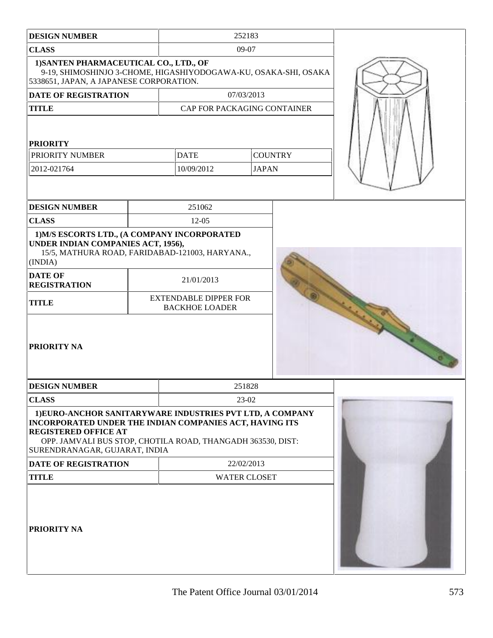| <b>DESIGN NUMBER</b>                                                                                                                                                                                                                                | 252183                                                |                                |  |  |
|-----------------------------------------------------------------------------------------------------------------------------------------------------------------------------------------------------------------------------------------------------|-------------------------------------------------------|--------------------------------|--|--|
| <b>CLASS</b>                                                                                                                                                                                                                                        | 09-07                                                 |                                |  |  |
| 1) SANTEN PHARMACEUTICAL CO., LTD., OF<br>9-19, SHIMOSHINJO 3-CHOME, HIGASHIYODOGAWA-KU, OSAKA-SHI, OSAKA<br>5338651, JAPAN, A JAPANESE CORPORATION.                                                                                                |                                                       |                                |  |  |
| DATE OF REGISTRATION                                                                                                                                                                                                                                |                                                       | 07/03/2013                     |  |  |
| <b>TITLE</b>                                                                                                                                                                                                                                        | CAP FOR PACKAGING CONTAINER                           |                                |  |  |
| <b>PRIORITY</b><br>PRIORITY NUMBER<br>2012-021764                                                                                                                                                                                                   | <b>DATE</b><br>10/09/2012                             | <b>COUNTRY</b><br><b>JAPAN</b> |  |  |
| <b>DESIGN NUMBER</b>                                                                                                                                                                                                                                | 251062                                                |                                |  |  |
| <b>CLASS</b>                                                                                                                                                                                                                                        | $12-05$                                               |                                |  |  |
| 1) M/S ESCORTS LTD., (A COMPANY INCORPORATED<br>UNDER INDIAN COMPANIES ACT, 1956),<br>15/5, MATHURA ROAD, FARIDABAD-121003, HARYANA.,<br>(INDIA)                                                                                                    |                                                       |                                |  |  |
| <b>DATE OF</b><br><b>REGISTRATION</b>                                                                                                                                                                                                               | 21/01/2013                                            |                                |  |  |
| <b>TITLE</b>                                                                                                                                                                                                                                        | <b>EXTENDABLE DIPPER FOR</b><br><b>BACKHOE LOADER</b> |                                |  |  |
| <b>PRIORITY NA</b>                                                                                                                                                                                                                                  |                                                       |                                |  |  |
| <b>DESIGN NUMBER</b>                                                                                                                                                                                                                                |                                                       | 251828                         |  |  |
| <b>CLASS</b>                                                                                                                                                                                                                                        |                                                       | 23-02                          |  |  |
| 1) EURO-ANCHOR SANITARYWARE INDUSTRIES PVT LTD, A COMPANY<br>INCORPORATED UNDER THE INDIAN COMPANIES ACT, HAVING ITS<br><b>REGISTERED OFFICE AT</b><br>OPP. JAMVALI BUS STOP, CHOTILA ROAD, THANGADH 363530, DIST:<br>SURENDRANAGAR, GUJARAT, INDIA |                                                       |                                |  |  |
| <b>DATE OF REGISTRATION</b>                                                                                                                                                                                                                         |                                                       | 22/02/2013                     |  |  |
| <b>TITLE</b>                                                                                                                                                                                                                                        | <b>WATER CLOSET</b>                                   |                                |  |  |
| <b>PRIORITY NA</b>                                                                                                                                                                                                                                  |                                                       |                                |  |  |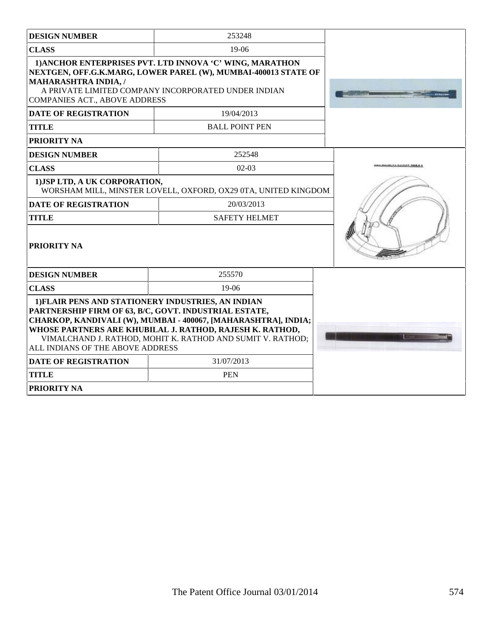| <b>DESIGN NUMBER</b>                                                | 253248                                                                                                                                                                                                                                                                                                  |                                      |
|---------------------------------------------------------------------|---------------------------------------------------------------------------------------------------------------------------------------------------------------------------------------------------------------------------------------------------------------------------------------------------------|--------------------------------------|
| <b>CLASS</b>                                                        | $19-06$                                                                                                                                                                                                                                                                                                 |                                      |
| <b>MAHARASHTRA INDIA, /</b><br><b>COMPANIES ACT., ABOVE ADDRESS</b> | 1) ANCHOR ENTERPRISES PVT. LTD INNOVA 'C' WING, MARATHON<br>NEXTGEN, OFF.G.K.MARG, LOWER PAREL (W), MUMBAI-400013 STATE OF<br>A PRIVATE LIMITED COMPANY INCORPORATED UNDER INDIAN                                                                                                                       |                                      |
| <b>DATE OF REGISTRATION</b>                                         | 19/04/2013                                                                                                                                                                                                                                                                                              |                                      |
| <b>TITLE</b>                                                        | <b>BALL POINT PEN</b>                                                                                                                                                                                                                                                                                   |                                      |
| <b>PRIORITY NA</b>                                                  |                                                                                                                                                                                                                                                                                                         |                                      |
| <b>DESIGN NUMBER</b>                                                | 252548                                                                                                                                                                                                                                                                                                  |                                      |
| <b>CLASS</b>                                                        | $02-03$                                                                                                                                                                                                                                                                                                 | <b>ALCOHOL: A RUBBER INFORMATION</b> |
| 1) JSP LTD, A UK CORPORATION,                                       | WORSHAM MILL, MINSTER LOVELL, OXFORD, OX29 0TA, UNITED KINGDOM                                                                                                                                                                                                                                          |                                      |
| <b>DATE OF REGISTRATION</b>                                         | 20/03/2013                                                                                                                                                                                                                                                                                              |                                      |
| <b>TITLE</b>                                                        | <b>SAFETY HELMET</b>                                                                                                                                                                                                                                                                                    |                                      |
| <b>PRIORITY NA</b>                                                  |                                                                                                                                                                                                                                                                                                         |                                      |
| <b>DESIGN NUMBER</b>                                                | 255570                                                                                                                                                                                                                                                                                                  |                                      |
| <b>CLASS</b>                                                        | $19-06$                                                                                                                                                                                                                                                                                                 |                                      |
| ALL INDIANS OF THE ABOVE ADDRESS                                    | 1) FLAIR PENS AND STATIONERY INDUSTRIES, AN INDIAN<br>PARTNERSHIP FIRM OF 63, B/C, GOVT. INDUSTRIAL ESTATE,<br>CHARKOP, KANDIVALI (W), MUMBAI - 400067, [MAHARASHTRA], INDIA;<br>WHOSE PARTNERS ARE KHUBILAL J. RATHOD, RAJESH K. RATHOD,<br>VIMALCHAND J. RATHOD, MOHIT K. RATHOD AND SUMIT V. RATHOD; |                                      |
| <b>DATE OF REGISTRATION</b>                                         | 31/07/2013                                                                                                                                                                                                                                                                                              |                                      |
| <b>TITLE</b>                                                        | <b>PEN</b>                                                                                                                                                                                                                                                                                              |                                      |
| <b>PRIORITY NA</b>                                                  |                                                                                                                                                                                                                                                                                                         |                                      |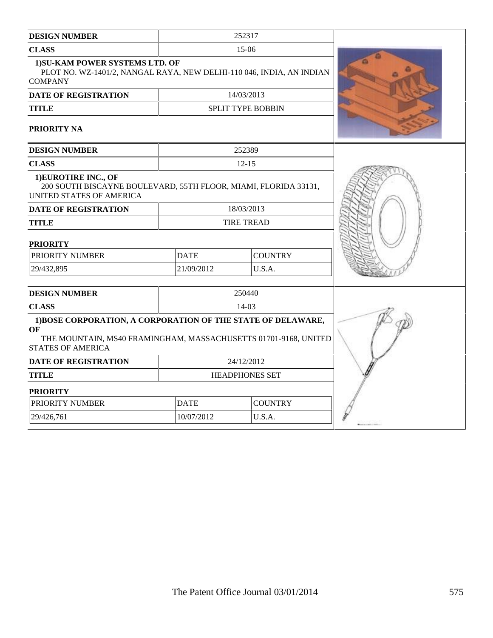| <b>DESIGN NUMBER</b>                                                                                                                                                    |                       | 252317                   |  |
|-------------------------------------------------------------------------------------------------------------------------------------------------------------------------|-----------------------|--------------------------|--|
| <b>CLASS</b>                                                                                                                                                            |                       | $15-06$                  |  |
| 1) SU-KAM POWER SYSTEMS LTD. OF<br>PLOT NO. WZ-1401/2, NANGAL RAYA, NEW DELHI-110 046, INDIA, AN INDIAN<br><b>COMPANY</b>                                               |                       |                          |  |
| <b>DATE OF REGISTRATION</b>                                                                                                                                             |                       | 14/03/2013               |  |
| <b>TITLE</b>                                                                                                                                                            |                       | <b>SPLIT TYPE BOBBIN</b> |  |
| <b>PRIORITY NA</b>                                                                                                                                                      |                       |                          |  |
| <b>DESIGN NUMBER</b>                                                                                                                                                    |                       | 252389                   |  |
| <b>CLASS</b>                                                                                                                                                            |                       | $12 - 15$                |  |
| 1) EUROTIRE INC., OF<br>200 SOUTH BISCAYNE BOULEVARD, 55TH FLOOR, MIAMI, FLORIDA 33131,<br>UNITED STATES OF AMERICA                                                     |                       |                          |  |
| <b>DATE OF REGISTRATION</b>                                                                                                                                             |                       | 18/03/2013               |  |
| <b>TITLE</b>                                                                                                                                                            |                       | <b>TIRE TREAD</b>        |  |
| <b>PRIORITY</b>                                                                                                                                                         |                       |                          |  |
| PRIORITY NUMBER                                                                                                                                                         | <b>DATE</b>           | <b>COUNTRY</b>           |  |
| 29/432,895                                                                                                                                                              | 21/09/2012            | U.S.A.                   |  |
| <b>DESIGN NUMBER</b>                                                                                                                                                    |                       | 250440                   |  |
| <b>CLASS</b>                                                                                                                                                            |                       | $14-03$                  |  |
| 1)BOSE CORPORATION, A CORPORATION OF THE STATE OF DELAWARE,<br><b>OF</b><br>THE MOUNTAIN, MS40 FRAMINGHAM, MASSACHUSETTS 01701-9168, UNITED<br><b>STATES OF AMERICA</b> |                       |                          |  |
| <b>DATE OF REGISTRATION</b>                                                                                                                                             |                       | 24/12/2012               |  |
| <b>TITLE</b>                                                                                                                                                            | <b>HEADPHONES SET</b> |                          |  |
| <b>PRIORITY</b>                                                                                                                                                         |                       |                          |  |
| PRIORITY NUMBER                                                                                                                                                         | <b>DATE</b>           | <b>COUNTRY</b>           |  |
| 29/426,761                                                                                                                                                              | 10/07/2012            | U.S.A.                   |  |
|                                                                                                                                                                         |                       |                          |  |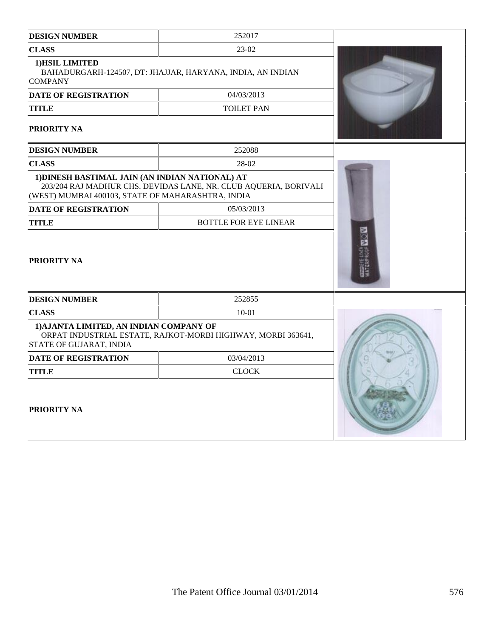| <b>DESIGN NUMBER</b>                                                                                 | 252017                                                           |  |  |
|------------------------------------------------------------------------------------------------------|------------------------------------------------------------------|--|--|
| <b>CLASS</b>                                                                                         | 23-02                                                            |  |  |
| 1) HSIL LIMITED<br><b>COMPANY</b>                                                                    | BAHADURGARH-124507, DT: JHAJJAR, HARYANA, INDIA, AN INDIAN       |  |  |
| <b>DATE OF REGISTRATION</b>                                                                          | 04/03/2013                                                       |  |  |
| <b>TITLE</b>                                                                                         | <b>TOILET PAN</b>                                                |  |  |
| PRIORITY NA                                                                                          |                                                                  |  |  |
| <b>DESIGN NUMBER</b>                                                                                 | 252088                                                           |  |  |
| <b>CLASS</b>                                                                                         | 28-02                                                            |  |  |
| 1) DINESH BASTIMAL JAIN (AN INDIAN NATIONAL) AT<br>(WEST) MUMBAI 400103, STATE OF MAHARASHTRA, INDIA | 203/204 RAJ MADHUR CHS. DEVIDAS LANE, NR. CLUB AQUERIA, BORIVALI |  |  |
| <b>DATE OF REGISTRATION</b>                                                                          | 05/03/2013                                                       |  |  |
| <b>TITLE</b>                                                                                         | <b>BOTTLE FOR EYE LINEAR</b>                                     |  |  |
| PRIORITY NA                                                                                          |                                                                  |  |  |
| <b>DESIGN NUMBER</b>                                                                                 | 252855                                                           |  |  |
| <b>CLASS</b>                                                                                         | $10 - 01$                                                        |  |  |
| 1) AJANTA LIMITED, AN INDIAN COMPANY OF<br>STATE OF GUJARAT, INDIA                                   | ORPAT INDUSTRIAL ESTATE, RAJKOT-MORBI HIGHWAY, MORBI 363641,     |  |  |
| <b>DATE OF REGISTRATION</b>                                                                          | 03/04/2013                                                       |  |  |
| <b>TITLE</b>                                                                                         | <b>CLOCK</b>                                                     |  |  |
| PRIORITY NA                                                                                          |                                                                  |  |  |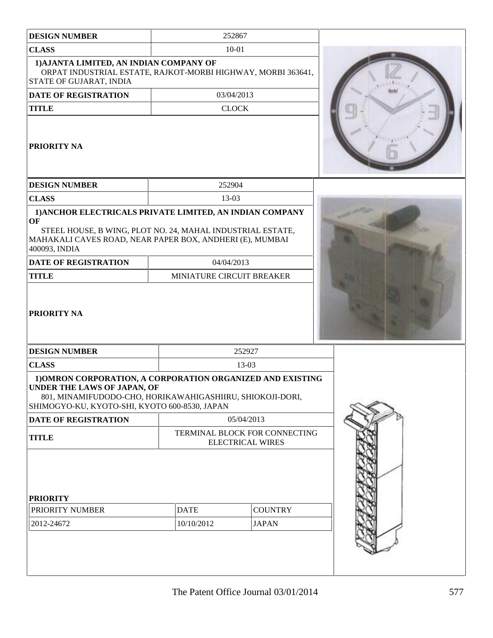| <b>DESIGN NUMBER</b>                                                                                                                                                                                    | 252867                                                   |                |  |
|---------------------------------------------------------------------------------------------------------------------------------------------------------------------------------------------------------|----------------------------------------------------------|----------------|--|
| <b>CLASS</b>                                                                                                                                                                                            | $10 - 01$                                                |                |  |
| 1) AJANTA LIMITED, AN INDIAN COMPANY OF<br>ORPAT INDUSTRIAL ESTATE, RAJKOT-MORBI HIGHWAY, MORBI 363641,<br>STATE OF GUJARAT, INDIA                                                                      |                                                          |                |  |
| <b>DATE OF REGISTRATION</b>                                                                                                                                                                             | 03/04/2013                                               |                |  |
| <b>TITLE</b>                                                                                                                                                                                            | <b>CLOCK</b>                                             |                |  |
| <b>PRIORITY NA</b>                                                                                                                                                                                      |                                                          |                |  |
| <b>DESIGN NUMBER</b>                                                                                                                                                                                    | 252904                                                   |                |  |
| <b>CLASS</b>                                                                                                                                                                                            | 13-03                                                    |                |  |
| 1) ANCHOR ELECTRICALS PRIVATE LIMITED, AN INDIAN COMPANY                                                                                                                                                |                                                          |                |  |
| OF<br>STEEL HOUSE, B WING, PLOT NO. 24, MAHAL INDUSTRIAL ESTATE,<br>MAHAKALI CAVES ROAD, NEAR PAPER BOX, ANDHERI (E), MUMBAI<br>400093, INDIA                                                           |                                                          |                |  |
| <b>DATE OF REGISTRATION</b>                                                                                                                                                                             | 04/04/2013                                               |                |  |
| <b>TITLE</b>                                                                                                                                                                                            | MINIATURE CIRCUIT BREAKER                                |                |  |
| <b>PRIORITY NA</b>                                                                                                                                                                                      |                                                          |                |  |
| <b>DESIGN NUMBER</b>                                                                                                                                                                                    |                                                          | 252927         |  |
| <b>CLASS</b>                                                                                                                                                                                            |                                                          | 13-03          |  |
| 1) OMRON CORPORATION, A CORPORATION ORGANIZED AND EXISTING<br>UNDER THE LAWS OF JAPAN, OF<br>801, MINAMIFUDODO-CHO, HORIKAWAHIGASHIIRU, SHIOKOJI-DORI,<br>SHIMOGYO-KU, KYOTO-SHI, KYOTO 600-8530, JAPAN |                                                          |                |  |
| <b>DATE OF REGISTRATION</b>                                                                                                                                                                             |                                                          | 05/04/2013     |  |
| <b>TITLE</b>                                                                                                                                                                                            | TERMINAL BLOCK FOR CONNECTING<br><b>ELECTRICAL WIRES</b> |                |  |
| <b>PRIORITY</b><br>PRIORITY NUMBER                                                                                                                                                                      | <b>DATE</b>                                              | <b>COUNTRY</b> |  |
|                                                                                                                                                                                                         |                                                          |                |  |
| 2012-24672                                                                                                                                                                                              | 10/10/2012                                               | <b>JAPAN</b>   |  |
|                                                                                                                                                                                                         |                                                          |                |  |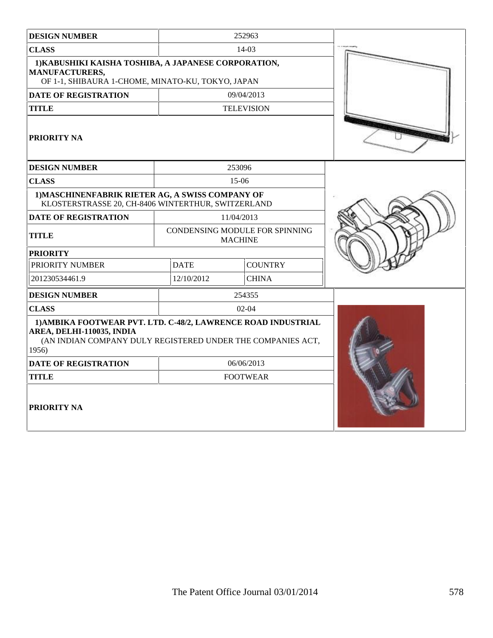| <b>DESIGN NUMBER</b>                                                                                                                                               |             | 252963                                                  |  |
|--------------------------------------------------------------------------------------------------------------------------------------------------------------------|-------------|---------------------------------------------------------|--|
| <b>CLASS</b>                                                                                                                                                       |             | 14-03                                                   |  |
| 1) KABUSHIKI KAISHA TOSHIBA, A JAPANESE CORPORATION,<br><b>MANUFACTURERS,</b><br>OF 1-1, SHIBAURA 1-CHOME, MINATO-KU, TOKYO, JAPAN                                 |             |                                                         |  |
| <b>DATE OF REGISTRATION</b>                                                                                                                                        |             | 09/04/2013                                              |  |
| <b>TITLE</b>                                                                                                                                                       |             | <b>TELEVISION</b>                                       |  |
| <b>PRIORITY NA</b>                                                                                                                                                 |             |                                                         |  |
| <b>DESIGN NUMBER</b>                                                                                                                                               |             | 253096                                                  |  |
| <b>CLASS</b>                                                                                                                                                       |             | 15-06                                                   |  |
| 1) MASCHINENFABRIK RIETER AG, A SWISS COMPANY OF<br>KLOSTERSTRASSE 20, CH-8406 WINTERTHUR, SWITZERLAND                                                             |             |                                                         |  |
| <b>DATE OF REGISTRATION</b>                                                                                                                                        |             | 11/04/2013                                              |  |
| <b>TITLE</b>                                                                                                                                                       |             | <b>CONDENSING MODULE FOR SPINNING</b><br><b>MACHINE</b> |  |
| <b>PRIORITY</b>                                                                                                                                                    |             |                                                         |  |
| PRIORITY NUMBER                                                                                                                                                    | <b>DATE</b> | <b>COUNTRY</b>                                          |  |
| 201230534461.9                                                                                                                                                     | 12/10/2012  | <b>CHINA</b>                                            |  |
| <b>DESIGN NUMBER</b>                                                                                                                                               |             | 254355                                                  |  |
| <b>CLASS</b>                                                                                                                                                       |             | $02-04$                                                 |  |
| 1) AMBIKA FOOTWEAR PVT. LTD. C-48/2, LAWRENCE ROAD INDUSTRIAL<br>AREA, DELHI-110035, INDIA<br>(AN INDIAN COMPANY DULY REGISTERED UNDER THE COMPANIES ACT,<br>1956) |             |                                                         |  |
| <b>DATE OF REGISTRATION</b>                                                                                                                                        |             | 06/06/2013                                              |  |
| <b>TITLE</b>                                                                                                                                                       |             | <b>FOOTWEAR</b>                                         |  |
| <b>PRIORITY NA</b>                                                                                                                                                 |             |                                                         |  |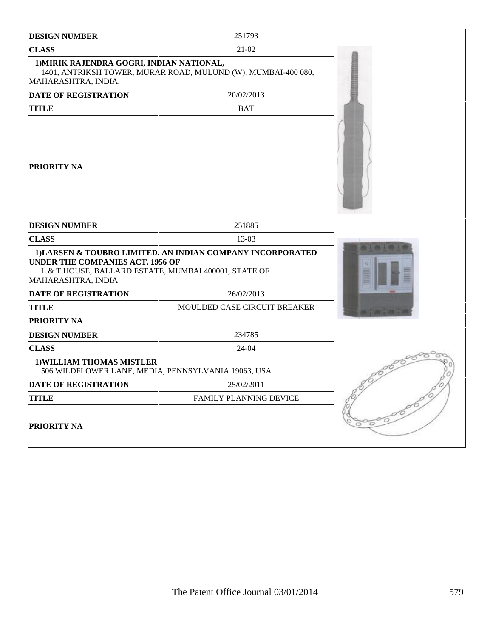| <b>DESIGN NUMBER</b>                                                                                           | 251793                                                        |  |
|----------------------------------------------------------------------------------------------------------------|---------------------------------------------------------------|--|
| <b>CLASS</b>                                                                                                   | 21-02                                                         |  |
| 1) MIRIK RAJENDRA GOGRI, INDIAN NATIONAL,<br>MAHARASHTRA, INDIA.                                               | 1401, ANTRIKSH TOWER, MURAR ROAD, MULUND (W), MUMBAI-400 080, |  |
| <b>DATE OF REGISTRATION</b>                                                                                    | 20/02/2013                                                    |  |
| <b>TITLE</b>                                                                                                   | <b>BAT</b>                                                    |  |
| PRIORITY NA                                                                                                    |                                                               |  |
| <b>DESIGN NUMBER</b>                                                                                           | 251885                                                        |  |
| <b>CLASS</b>                                                                                                   | 13-03                                                         |  |
| UNDER THE COMPANIES ACT, 1956 OF<br>L & T HOUSE, BALLARD ESTATE, MUMBAI 400001, STATE OF<br>MAHARASHTRA, INDIA | 1) LARSEN & TOUBRO LIMITED, AN INDIAN COMPANY INCORPORATED    |  |
| <b>DATE OF REGISTRATION</b>                                                                                    | 26/02/2013                                                    |  |
| <b>TITLE</b>                                                                                                   | MOULDED CASE CIRCUIT BREAKER                                  |  |
| PRIORITY NA                                                                                                    |                                                               |  |
| <b>DESIGN NUMBER</b>                                                                                           | 234785                                                        |  |
| <b>CLASS</b>                                                                                                   | 24-04                                                         |  |
| 1) WILLIAM THOMAS MISTLER<br>506 WILDFLOWER LANE, MEDIA, PENNSYLVANIA 19063, USA                               |                                                               |  |
| <b>DATE OF REGISTRATION</b>                                                                                    | 25/02/2011                                                    |  |
| <b>TITLE</b>                                                                                                   | FAMILY PLANNING DEVICE                                        |  |
| <b>PRIORITY NA</b>                                                                                             |                                                               |  |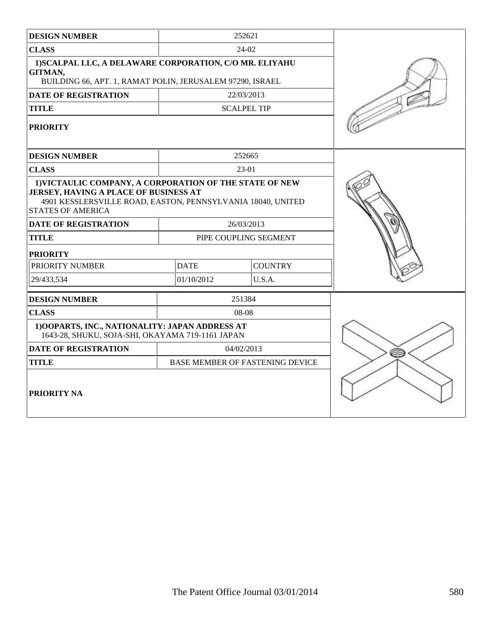| <b>DESIGN NUMBER</b>                                                                                                                                                                                                       |                       | 252621                                 |  |
|----------------------------------------------------------------------------------------------------------------------------------------------------------------------------------------------------------------------------|-----------------------|----------------------------------------|--|
| <b>CLASS</b>                                                                                                                                                                                                               |                       | 24-02                                  |  |
| 1) SCALPAL LLC, A DELAWARE CORPORATION, C/O MR. ELIYAHU<br>GITMAN,<br>BUILDING 66, APT. 1, RAMAT POLIN, JERUSALEM 97290, ISRAEL                                                                                            |                       |                                        |  |
| <b>DATE OF REGISTRATION</b>                                                                                                                                                                                                |                       | 22/03/2013                             |  |
| <b>TITLE</b>                                                                                                                                                                                                               |                       | <b>SCALPEL TIP</b>                     |  |
| <b>PRIORITY</b>                                                                                                                                                                                                            |                       |                                        |  |
| <b>DESIGN NUMBER</b>                                                                                                                                                                                                       |                       | 252665                                 |  |
| <b>CLASS</b>                                                                                                                                                                                                               |                       | 23-01                                  |  |
| 1) VICTAULIC COMPANY, A CORPORATION OF THE STATE OF NEW<br>JERSEY, HAVING A PLACE OF BUSINESS AT<br>4901 KESSLERSVILLE ROAD, EASTON, PENNSYLVANIA 18040, UNITED<br><b>STATES OF AMERICA</b><br><b>DATE OF REGISTRATION</b> |                       |                                        |  |
| <b>TITLE</b>                                                                                                                                                                                                               |                       | 26/03/2013                             |  |
|                                                                                                                                                                                                                            | PIPE COUPLING SEGMENT |                                        |  |
| <b>PRIORITY</b><br>PRIORITY NUMBER                                                                                                                                                                                         | <b>DATE</b>           | <b>COUNTRY</b>                         |  |
|                                                                                                                                                                                                                            |                       |                                        |  |
| 29/433,534                                                                                                                                                                                                                 | 01/10/2012            | U.S.A.                                 |  |
| <b>DESIGN NUMBER</b>                                                                                                                                                                                                       |                       | 251384                                 |  |
| <b>CLASS</b>                                                                                                                                                                                                               |                       | 08-08                                  |  |
| 1) OOPARTS, INC., NATIONALITY: JAPAN ADDRESS AT<br>1643-28, SHUKU, SOJA-SHI, OKAYAMA 719-1161 JAPAN                                                                                                                        |                       |                                        |  |
| <b>DATE OF REGISTRATION</b>                                                                                                                                                                                                |                       | 04/02/2013                             |  |
| <b>TITLE</b>                                                                                                                                                                                                               |                       | <b>BASE MEMBER OF FASTENING DEVICE</b> |  |
| PRIORITY NA                                                                                                                                                                                                                |                       |                                        |  |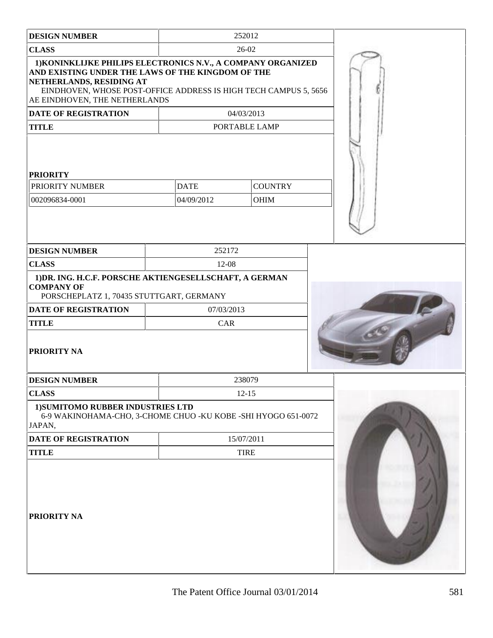| <b>DESIGN NUMBER</b>                                                                                                                                                                                                                               |             | 252012         |  |
|----------------------------------------------------------------------------------------------------------------------------------------------------------------------------------------------------------------------------------------------------|-------------|----------------|--|
| <b>CLASS</b>                                                                                                                                                                                                                                       |             | 26-02          |  |
| 1) KONINKLIJKE PHILIPS ELECTRONICS N.V., A COMPANY ORGANIZED<br>AND EXISTING UNDER THE LAWS OF THE KINGDOM OF THE<br>NETHERLANDS, RESIDING AT<br>EINDHOVEN, WHOSE POST-OFFICE ADDRESS IS HIGH TECH CAMPUS 5, 5656<br>AE EINDHOVEN, THE NETHERLANDS |             |                |  |
| <b>DATE OF REGISTRATION</b>                                                                                                                                                                                                                        |             | 04/03/2013     |  |
| <b>TITLE</b>                                                                                                                                                                                                                                       |             | PORTABLE LAMP  |  |
| <b>PRIORITY</b>                                                                                                                                                                                                                                    |             |                |  |
| PRIORITY NUMBER                                                                                                                                                                                                                                    | <b>DATE</b> | <b>COUNTRY</b> |  |
| 002096834-0001                                                                                                                                                                                                                                     | 04/09/2012  | <b>OHIM</b>    |  |
|                                                                                                                                                                                                                                                    |             |                |  |
| <b>DESIGN NUMBER</b>                                                                                                                                                                                                                               | 252172      |                |  |
| <b>CLASS</b>                                                                                                                                                                                                                                       | 12-08       |                |  |
| 1) DR. ING. H.C.F. PORSCHE AKTIENGESELLSCHAFT, A GERMAN<br><b>COMPANY OF</b><br>PORSCHEPLATZ 1, 70435 STUTTGART, GERMANY<br><b>DATE OF REGISTRATION</b>                                                                                            | 07/03/2013  |                |  |
| <b>TITLE</b>                                                                                                                                                                                                                                       | CAR         |                |  |
| PRIORITY NA                                                                                                                                                                                                                                        |             |                |  |
| <b>DESIGN NUMBER</b>                                                                                                                                                                                                                               |             | 238079         |  |
| <b>CLASS</b>                                                                                                                                                                                                                                       |             | $12 - 15$      |  |
| 1) SUMITOMO RUBBER INDUSTRIES LTD<br>6-9 WAKINOHAMA-CHO, 3-CHOME CHUO - KU KOBE - SHI HYOGO 651-0072<br>JAPAN,                                                                                                                                     |             |                |  |
| DATE OF REGISTRATION                                                                                                                                                                                                                               |             | 15/07/2011     |  |
| <b>TITLE</b>                                                                                                                                                                                                                                       |             | <b>TIRE</b>    |  |
| PRIORITY NA                                                                                                                                                                                                                                        |             |                |  |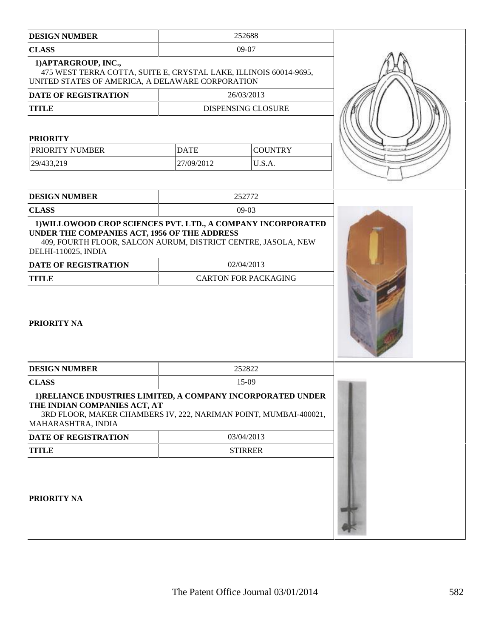| <b>DESIGN NUMBER</b>                                                                                                                                                                                 |                             | 252688                    |  |
|------------------------------------------------------------------------------------------------------------------------------------------------------------------------------------------------------|-----------------------------|---------------------------|--|
| <b>CLASS</b>                                                                                                                                                                                         |                             | 09-07                     |  |
| 1) APTARGROUP, INC.,<br>475 WEST TERRA COTTA, SUITE E, CRYSTAL LAKE, ILLINOIS 60014-9695,<br>UNITED STATES OF AMERICA, A DELAWARE CORPORATION                                                        |                             |                           |  |
| <b>DATE OF REGISTRATION</b>                                                                                                                                                                          |                             | 26/03/2013                |  |
| <b>TITLE</b>                                                                                                                                                                                         |                             | <b>DISPENSING CLOSURE</b> |  |
| <b>PRIORITY</b>                                                                                                                                                                                      |                             |                           |  |
| PRIORITY NUMBER                                                                                                                                                                                      | <b>DATE</b>                 | <b>COUNTRY</b>            |  |
| 29/433,219                                                                                                                                                                                           | 27/09/2012                  | U.S.A.                    |  |
| <b>DESIGN NUMBER</b>                                                                                                                                                                                 |                             | 252772                    |  |
| <b>CLASS</b>                                                                                                                                                                                         |                             | $09-03$                   |  |
| 1) WILLOWOOD CROP SCIENCES PVT. LTD., A COMPANY INCORPORATED<br>UNDER THE COMPANIES ACT, 1956 OF THE ADDRESS<br>409, FOURTH FLOOR, SALCON AURUM, DISTRICT CENTRE, JASOLA, NEW<br>DELHI-110025, INDIA |                             |                           |  |
| DATE OF REGISTRATION                                                                                                                                                                                 |                             | 02/04/2013                |  |
| <b>TITLE</b>                                                                                                                                                                                         | <b>CARTON FOR PACKAGING</b> |                           |  |
| <b>PRIORITY NA</b>                                                                                                                                                                                   |                             |                           |  |
| <b>DESIGN NUMBER</b>                                                                                                                                                                                 |                             | 252822                    |  |
| <b>CLASS</b>                                                                                                                                                                                         |                             | 15-09                     |  |
| 1) RELIANCE INDUSTRIES LIMITED, A COMPANY INCORPORATED UNDER<br>THE INDIAN COMPANIES ACT, AT<br>3RD FLOOR, MAKER CHAMBERS IV, 222, NARIMAN POINT, MUMBAI-400021,<br>MAHARASHTRA, INDIA               |                             |                           |  |
| DATE OF REGISTRATION                                                                                                                                                                                 | 03/04/2013                  |                           |  |
| <b>TITLE</b>                                                                                                                                                                                         | <b>STIRRER</b>              |                           |  |
| PRIORITY NA                                                                                                                                                                                          |                             |                           |  |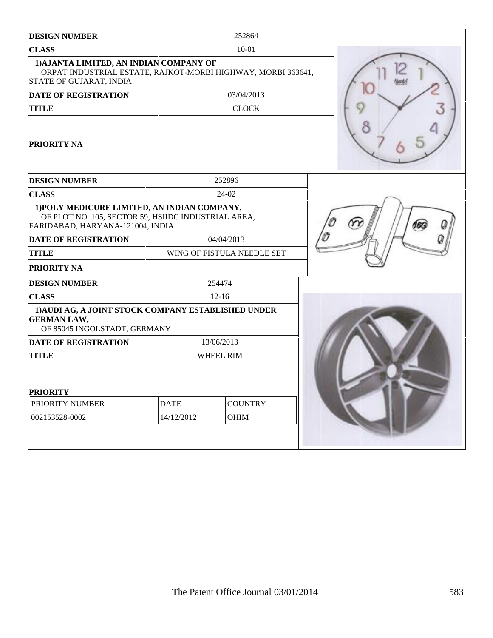| <b>DESIGN NUMBER</b>                                                                                                                    |                  | 252864                     |  |
|-----------------------------------------------------------------------------------------------------------------------------------------|------------------|----------------------------|--|
| <b>CLASS</b>                                                                                                                            |                  | $10 - 01$                  |  |
| 1) AJANTA LIMITED, AN INDIAN COMPANY OF<br>ORPAT INDUSTRIAL ESTATE, RAJKOT-MORBI HIGHWAY, MORBI 363641,<br>STATE OF GUJARAT, INDIA      |                  |                            |  |
| <b>DATE OF REGISTRATION</b>                                                                                                             |                  | 03/04/2013                 |  |
| <b>TITLE</b>                                                                                                                            |                  | <b>CLOCK</b>               |  |
| PRIORITY NA                                                                                                                             |                  |                            |  |
| <b>DESIGN NUMBER</b>                                                                                                                    |                  | 252896                     |  |
| <b>CLASS</b>                                                                                                                            |                  | 24-02                      |  |
| 1) POLY MEDICURE LIMITED, AN INDIAN COMPANY,<br>OF PLOT NO. 105, SECTOR 59, HSIIDC INDUSTRIAL AREA,<br>FARIDABAD, HARYANA-121004, INDIA |                  |                            |  |
| <b>DATE OF REGISTRATION</b>                                                                                                             | 04/04/2013       |                            |  |
| <b>TITLE</b>                                                                                                                            |                  | WING OF FISTULA NEEDLE SET |  |
| PRIORITY NA                                                                                                                             |                  |                            |  |
| <b>DESIGN NUMBER</b>                                                                                                                    |                  | 254474                     |  |
| <b>CLASS</b>                                                                                                                            |                  | $12-16$                    |  |
| 1) AUDI AG, A JOINT STOCK COMPANY ESTABLISHED UNDER<br><b>GERMAN LAW,</b><br>OF 85045 INGOLSTADT, GERMANY                               |                  |                            |  |
| <b>DATE OF REGISTRATION</b>                                                                                                             |                  | 13/06/2013                 |  |
| <b>TITLE</b>                                                                                                                            | <b>WHEEL RIM</b> |                            |  |
| <b>PRIORITY</b>                                                                                                                         |                  |                            |  |
| PRIORITY NUMBER                                                                                                                         | <b>DATE</b>      | <b>COUNTRY</b>             |  |
| 002153528-0002                                                                                                                          | 14/12/2012       | OHIM                       |  |
|                                                                                                                                         |                  |                            |  |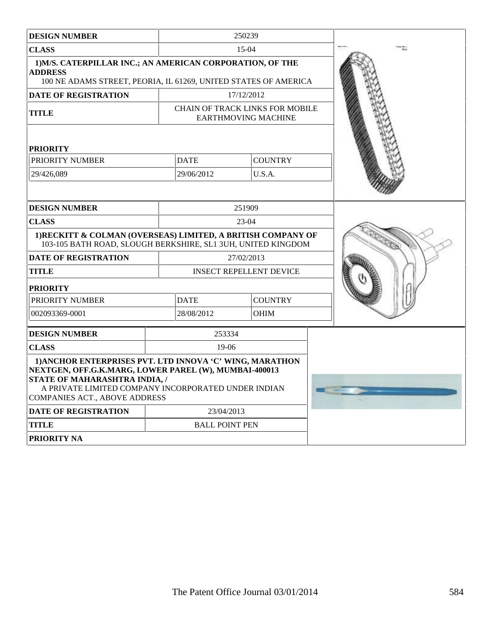| <b>DESIGN NUMBER</b>                                                                                                                                                                                                                              |                       | 250239                                                        |  |
|---------------------------------------------------------------------------------------------------------------------------------------------------------------------------------------------------------------------------------------------------|-----------------------|---------------------------------------------------------------|--|
| <b>CLASS</b>                                                                                                                                                                                                                                      |                       | 15-04                                                         |  |
| 1) M/S. CATERPILLAR INC.; AN AMERICAN CORPORATION, OF THE<br><b>ADDRESS</b><br>100 NE ADAMS STREET, PEORIA, IL 61269, UNITED STATES OF AMERICA                                                                                                    |                       |                                                               |  |
| DATE OF REGISTRATION                                                                                                                                                                                                                              |                       | 17/12/2012                                                    |  |
| <b>TITLE</b>                                                                                                                                                                                                                                      |                       | CHAIN OF TRACK LINKS FOR MOBILE<br><b>EARTHMOVING MACHINE</b> |  |
| <b>PRIORITY</b>                                                                                                                                                                                                                                   |                       |                                                               |  |
| PRIORITY NUMBER                                                                                                                                                                                                                                   | <b>DATE</b>           | <b>COUNTRY</b>                                                |  |
| 29/426,089                                                                                                                                                                                                                                        | 29/06/2012            | U.S.A.                                                        |  |
| <b>DESIGN NUMBER</b>                                                                                                                                                                                                                              |                       | 251909                                                        |  |
|                                                                                                                                                                                                                                                   |                       |                                                               |  |
| <b>CLASS</b><br>1) RECKITT & COLMAN (OVERSEAS) LIMITED, A BRITISH COMPANY OF<br>103-105 BATH ROAD, SLOUGH BERKSHIRE, SL1 3UH, UNITED KINGDOM                                                                                                      |                       | $23-04$                                                       |  |
| <b>DATE OF REGISTRATION</b>                                                                                                                                                                                                                       |                       | 27/02/2013                                                    |  |
| TITLE                                                                                                                                                                                                                                             |                       | <b>INSECT REPELLENT DEVICE</b>                                |  |
| <b>PRIORITY</b>                                                                                                                                                                                                                                   |                       |                                                               |  |
| PRIORITY NUMBER                                                                                                                                                                                                                                   | <b>DATE</b>           | <b>COUNTRY</b>                                                |  |
| 002093369-0001                                                                                                                                                                                                                                    | 28/08/2012            | <b>OHIM</b>                                                   |  |
| <b>DESIGN NUMBER</b>                                                                                                                                                                                                                              | 253334                |                                                               |  |
| <b>CLASS</b>                                                                                                                                                                                                                                      | 19-06                 |                                                               |  |
| 1) ANCHOR ENTERPRISES PVT. LTD INNOVA 'C' WING, MARATHON<br>NEXTGEN, OFF.G.K.MARG, LOWER PAREL (W), MUMBAI-400013<br>STATE OF MAHARASHTRA INDIA, /<br>A PRIVATE LIMITED COMPANY INCORPORATED UNDER INDIAN<br><b>COMPANIES ACT., ABOVE ADDRESS</b> |                       |                                                               |  |
| <b>DATE OF REGISTRATION</b>                                                                                                                                                                                                                       | 23/04/2013            |                                                               |  |
| <b>TITLE</b>                                                                                                                                                                                                                                      | <b>BALL POINT PEN</b> |                                                               |  |
| PRIORITY NA                                                                                                                                                                                                                                       |                       |                                                               |  |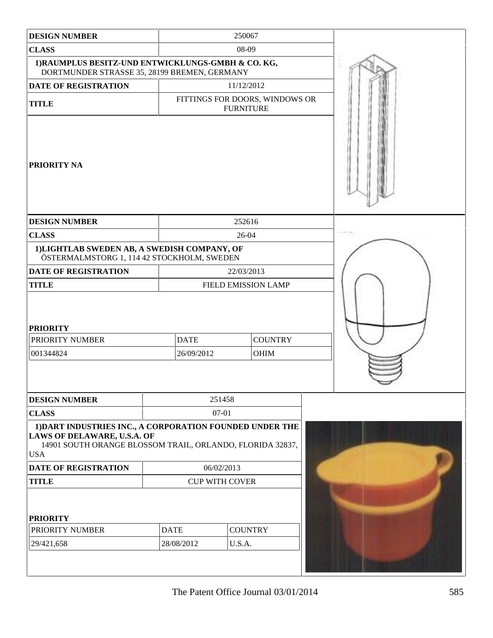| <b>DESIGN NUMBER</b>                                                                                                                                               |                           | 250067           |                                |  |
|--------------------------------------------------------------------------------------------------------------------------------------------------------------------|---------------------------|------------------|--------------------------------|--|
| <b>CLASS</b>                                                                                                                                                       |                           | 08-09            |                                |  |
| 1) RAUMPLUS BESITZ-UND ENTWICKLUNGS-GMBH & CO. KG,<br>DORTMUNDER STRASSE 35, 28199 BREMEN, GERMANY                                                                 |                           |                  |                                |  |
| <b>DATE OF REGISTRATION</b>                                                                                                                                        |                           | 11/12/2012       |                                |  |
| <b>TITLE</b>                                                                                                                                                       |                           | <b>FURNITURE</b> | FITTINGS FOR DOORS, WINDOWS OR |  |
| PRIORITY NA                                                                                                                                                        |                           |                  |                                |  |
| <b>DESIGN NUMBER</b>                                                                                                                                               |                           | 252616           |                                |  |
| <b>CLASS</b>                                                                                                                                                       |                           | 26-04            |                                |  |
| 1)LIGHTLAB SWEDEN AB, A SWEDISH COMPANY, OF<br>ÖSTERMALMSTORG 1, 114 42 STOCKHOLM, SWEDEN                                                                          |                           |                  |                                |  |
| DATE OF REGISTRATION                                                                                                                                               |                           | 22/03/2013       |                                |  |
| <b>TITLE</b>                                                                                                                                                       | FIELD EMISSION LAMP       |                  |                                |  |
| <b>PRIORITY</b><br>PRIORITY NUMBER<br>001344824                                                                                                                    | <b>DATE</b><br>26/09/2012 |                  | <b>COUNTRY</b><br>OHIM         |  |
|                                                                                                                                                                    |                           |                  |                                |  |
| <b>DESIGN NUMBER</b>                                                                                                                                               |                           | 251458           |                                |  |
| <b>CLASS</b>                                                                                                                                                       |                           | $07 - 01$        |                                |  |
| 1) DART INDUSTRIES INC., A CORPORATION FOUNDED UNDER THE<br>LAWS OF DELAWARE, U.S.A. OF<br>14901 SOUTH ORANGE BLOSSOM TRAIL, ORLANDO, FLORIDA 32837,<br><b>USA</b> |                           |                  |                                |  |
| DATE OF REGISTRATION                                                                                                                                               | 06/02/2013                |                  |                                |  |
| <b>TITLE</b>                                                                                                                                                       | <b>CUP WITH COVER</b>     |                  |                                |  |
| <b>PRIORITY</b>                                                                                                                                                    |                           |                  |                                |  |
| PRIORITY NUMBER                                                                                                                                                    | <b>DATE</b>               | <b>COUNTRY</b>   |                                |  |
| 29/421,658                                                                                                                                                         | 28/08/2012                | U.S.A.           |                                |  |
|                                                                                                                                                                    |                           |                  |                                |  |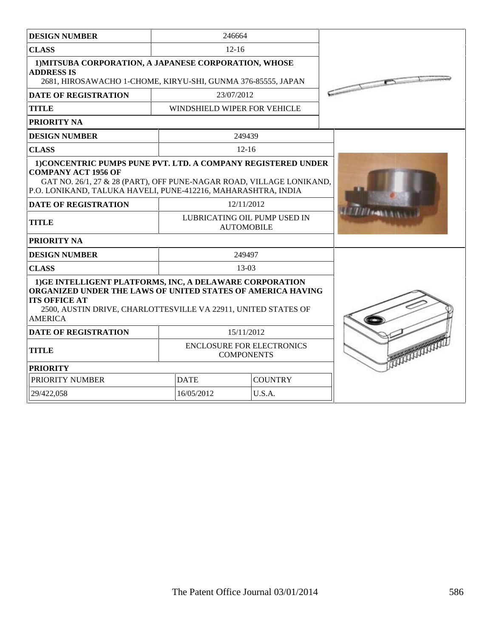| <b>DESIGN NUMBER</b>                                                                                                                                                                                                                 | 246664                                                |  |  |
|--------------------------------------------------------------------------------------------------------------------------------------------------------------------------------------------------------------------------------------|-------------------------------------------------------|--|--|
| <b>CLASS</b>                                                                                                                                                                                                                         | $12 - 16$                                             |  |  |
| 1) MITSUBA CORPORATION, A JAPANESE CORPORATION, WHOSE<br><b>ADDRESS IS</b><br>2681, HIROSAWACHO 1-CHOME, KIRYU-SHI, GUNMA 376-85555, JAPAN                                                                                           | $\sqrt{2}$                                            |  |  |
| <b>DATE OF REGISTRATION</b>                                                                                                                                                                                                          | 23/07/2012                                            |  |  |
| <b>TITLE</b>                                                                                                                                                                                                                         | WINDSHIELD WIPER FOR VEHICLE                          |  |  |
| PRIORITY NA                                                                                                                                                                                                                          |                                                       |  |  |
| <b>DESIGN NUMBER</b>                                                                                                                                                                                                                 | 249439                                                |  |  |
| <b>CLASS</b>                                                                                                                                                                                                                         | $12 - 16$                                             |  |  |
| 1) CONCENTRIC PUMPS PUNE PVT. LTD. A COMPANY REGISTERED UNDER<br><b>COMPANY ACT 1956 OF</b><br>GAT NO. 26/1, 27 & 28 (PART), OFF PUNE-NAGAR ROAD, VILLAGE LONIKAND,<br>P.O. LONIKAND, TALUKA HAVELI, PUNE-412216, MAHARASHTRA, INDIA |                                                       |  |  |
| <b>DATE OF REGISTRATION</b>                                                                                                                                                                                                          | 12/11/2012                                            |  |  |
| <b>TITLE</b>                                                                                                                                                                                                                         | LUBRICATING OIL PUMP USED IN<br><b>AUTOMOBILE</b>     |  |  |
| PRIORITY NA                                                                                                                                                                                                                          |                                                       |  |  |
| <b>DESIGN NUMBER</b><br>249497                                                                                                                                                                                                       |                                                       |  |  |
| <b>CLASS</b>                                                                                                                                                                                                                         | $13-03$                                               |  |  |
| 1) GE INTELLIGENT PLATFORMS, INC, A DELAWARE CORPORATION<br>ORGANIZED UNDER THE LAWS OF UNITED STATES OF AMERICA HAVING<br><b>ITS OFFICE AT</b><br>2500, AUSTIN DRIVE, CHARLOTTESVILLE VA 22911, UNITED STATES OF<br><b>AMERICA</b>  |                                                       |  |  |
| <b>DATE OF REGISTRATION</b>                                                                                                                                                                                                          | 15/11/2012                                            |  |  |
| <b>TITLE</b>                                                                                                                                                                                                                         | <b>ENCLOSURE FOR ELECTRONICS</b><br><b>COMPONENTS</b> |  |  |
| <b>PRIORITY</b>                                                                                                                                                                                                                      |                                                       |  |  |
| PRIORITY NUMBER                                                                                                                                                                                                                      | <b>DATE</b><br><b>COUNTRY</b>                         |  |  |
| 29/422,058                                                                                                                                                                                                                           | 16/05/2012<br>U.S.A.                                  |  |  |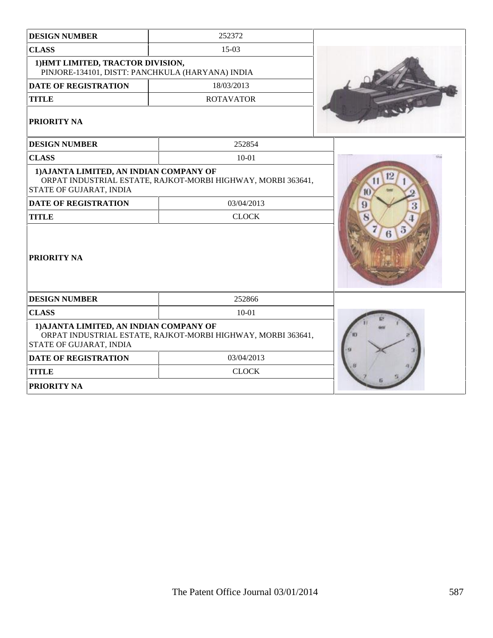| <b>DESIGN NUMBER</b>                                                                  | 252372                                                       |          |
|---------------------------------------------------------------------------------------|--------------------------------------------------------------|----------|
| <b>CLASS</b>                                                                          | $15-03$                                                      |          |
| 1) HMT LIMITED, TRACTOR DIVISION,<br>PINJORE-134101, DISTT: PANCHKULA (HARYANA) INDIA |                                                              |          |
| <b>DATE OF REGISTRATION</b>                                                           | 18/03/2013                                                   |          |
| <b>TITLE</b>                                                                          | <b>ROTAVATOR</b>                                             |          |
| PRIORITY NA                                                                           |                                                              |          |
| <b>DESIGN NUMBER</b>                                                                  | 252854                                                       |          |
| <b>CLASS</b>                                                                          | $10 - 01$                                                    |          |
| 1) AJANTA LIMITED, AN INDIAN COMPANY OF<br>STATE OF GUJARAT, INDIA                    | ORPAT INDUSTRIAL ESTATE, RAJKOT-MORBI HIGHWAY, MORBI 363641, | 12<br>10 |
| <b>DATE OF REGISTRATION</b>                                                           | 03/04/2013                                                   | 9<br>3   |
| <b>TITLE</b>                                                                          | <b>CLOCK</b>                                                 |          |
| PRIORITY NA                                                                           |                                                              | в        |
| <b>DESIGN NUMBER</b>                                                                  | 252866                                                       |          |
| <b>CLASS</b>                                                                          | $10 - 01$                                                    |          |
| 1) AJANTA LIMITED, AN INDIAN COMPANY OF<br>STATE OF GUJARAT, INDIA                    | ORPAT INDUSTRIAL ESTATE, RAJKOT-MORBI HIGHWAY, MORBI 363641, |          |
| <b>DATE OF REGISTRATION</b>                                                           | 03/04/2013                                                   |          |
| <b>TITLE</b>                                                                          | <b>CLOCK</b>                                                 |          |
| PRIORITY NA                                                                           |                                                              |          |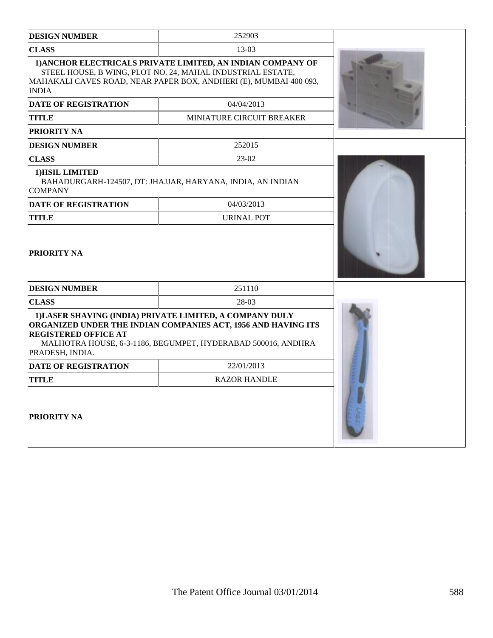| <b>DESIGN NUMBER</b>                           | 252903                                                                                                                                                                                                       |  |
|------------------------------------------------|--------------------------------------------------------------------------------------------------------------------------------------------------------------------------------------------------------------|--|
| <b>CLASS</b>                                   | $13-03$                                                                                                                                                                                                      |  |
| <b>INDIA</b><br><b>DATE OF REGISTRATION</b>    | 1) ANCHOR ELECTRICALS PRIVATE LIMITED, AN INDIAN COMPANY OF<br>STEEL HOUSE, B WING, PLOT NO. 24, MAHAL INDUSTRIAL ESTATE,<br>MAHAKALI CAVES ROAD, NEAR PAPER BOX, ANDHERI (E), MUMBAI 400 093,<br>04/04/2013 |  |
| TITLE                                          | <b>MINIATURE CIRCUIT BREAKER</b>                                                                                                                                                                             |  |
| PRIORITY NA                                    |                                                                                                                                                                                                              |  |
| <b>DESIGN NUMBER</b>                           | 252015                                                                                                                                                                                                       |  |
| <b>CLASS</b>                                   | 23-02                                                                                                                                                                                                        |  |
| 1) HSIL LIMITED<br><b>COMPANY</b>              | BAHADURGARH-124507, DT: JHAJJAR, HARYANA, INDIA, AN INDIAN                                                                                                                                                   |  |
| <b>DATE OF REGISTRATION</b>                    | 04/03/2013                                                                                                                                                                                                   |  |
| <b>TITLE</b>                                   | <b>URINAL POT</b>                                                                                                                                                                                            |  |
| <b>PRIORITY NA</b>                             |                                                                                                                                                                                                              |  |
| <b>DESIGN NUMBER</b>                           | 251110                                                                                                                                                                                                       |  |
| <b>CLASS</b>                                   | 28-03                                                                                                                                                                                                        |  |
| <b>REGISTERED OFFICE AT</b><br>PRADESH, INDIA. | 1) LASER SHAVING (INDIA) PRIVATE LIMITED, A COMPANY DULY<br>ORGANIZED UNDER THE INDIAN COMPANIES ACT, 1956 AND HAVING ITS<br>MALHOTRA HOUSE, 6-3-1186, BEGUMPET, HYDERABAD 500016, ANDHRA                    |  |
| <b>DATE OF REGISTRATION</b>                    | 22/01/2013                                                                                                                                                                                                   |  |
| <b>TITLE</b>                                   | <b>RAZOR HANDLE</b>                                                                                                                                                                                          |  |
| <b>PRIORITY NA</b>                             |                                                                                                                                                                                                              |  |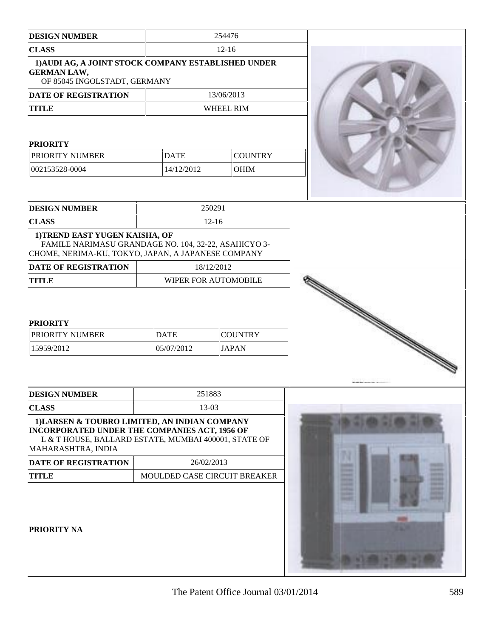| <b>DESIGN NUMBER</b>                                                                                                                                                                |                           | 254476                         |                                                                                                                                           |
|-------------------------------------------------------------------------------------------------------------------------------------------------------------------------------------|---------------------------|--------------------------------|-------------------------------------------------------------------------------------------------------------------------------------------|
| <b>CLASS</b>                                                                                                                                                                        |                           | $12-16$                        |                                                                                                                                           |
| 1) AUDI AG, A JOINT STOCK COMPANY ESTABLISHED UNDER<br><b>GERMAN LAW,</b><br>OF 85045 INGOLSTADT, GERMANY                                                                           |                           |                                |                                                                                                                                           |
| DATE OF REGISTRATION                                                                                                                                                                |                           | 13/06/2013                     |                                                                                                                                           |
| <b>TITLE</b>                                                                                                                                                                        |                           | WHEEL RIM                      |                                                                                                                                           |
| <b>PRIORITY</b><br>PRIORITY NUMBER                                                                                                                                                  | <b>DATE</b>               | <b>COUNTRY</b>                 |                                                                                                                                           |
| 002153528-0004                                                                                                                                                                      | 14/12/2012                | <b>OHIM</b>                    |                                                                                                                                           |
|                                                                                                                                                                                     |                           |                                |                                                                                                                                           |
| <b>DESIGN NUMBER</b>                                                                                                                                                                |                           | 250291                         |                                                                                                                                           |
| <b>CLASS</b>                                                                                                                                                                        |                           | $12 - 16$                      |                                                                                                                                           |
| 1) TREND EAST YUGEN KAISHA, OF<br>FAMILE NARIMASU GRANDAGE NO. 104, 32-22, ASAHICYO 3-<br>CHOME, NERIMA-KU, TOKYO, JAPAN, A JAPANESE COMPANY                                        |                           |                                |                                                                                                                                           |
| DATE OF REGISTRATION                                                                                                                                                                |                           | 18/12/2012                     |                                                                                                                                           |
| <b>TITLE</b>                                                                                                                                                                        |                           | WIPER FOR AUTOMOBILE           |                                                                                                                                           |
| <b>PRIORITY</b><br>PRIORITY NUMBER<br>15959/2012                                                                                                                                    | <b>DATE</b><br>05/07/2012 | <b>COUNTRY</b><br><b>JAPAN</b> | a dhe ann ann an 1970.<br>Chantara ann an 1970, ann an 1971 ann an 1971 ann an 1971 ann an 1971 ann an 1971 ann an 1971 ann an 1971 ann a |
| <b>DESIGN NUMBER</b>                                                                                                                                                                |                           | 251883                         |                                                                                                                                           |
| <b>CLASS</b>                                                                                                                                                                        |                           | 13-03                          |                                                                                                                                           |
| 1) LARSEN & TOUBRO LIMITED, AN INDIAN COMPANY<br><b>INCORPORATED UNDER THE COMPANIES ACT, 1956 OF</b><br>L & T HOUSE, BALLARD ESTATE, MUMBAI 400001, STATE OF<br>MAHARASHTRA, INDIA |                           |                                |                                                                                                                                           |
| <b>DATE OF REGISTRATION</b>                                                                                                                                                         |                           | 26/02/2013                     |                                                                                                                                           |
| <b>TITLE</b>                                                                                                                                                                        |                           | MOULDED CASE CIRCUIT BREAKER   | <b>The State</b><br><b>CONTRACT</b><br><b>COLOR</b>                                                                                       |
| PRIORITY NA                                                                                                                                                                         |                           |                                | سم<br><b>District</b><br><b>Barbara</b><br><b>Barbara</b>                                                                                 |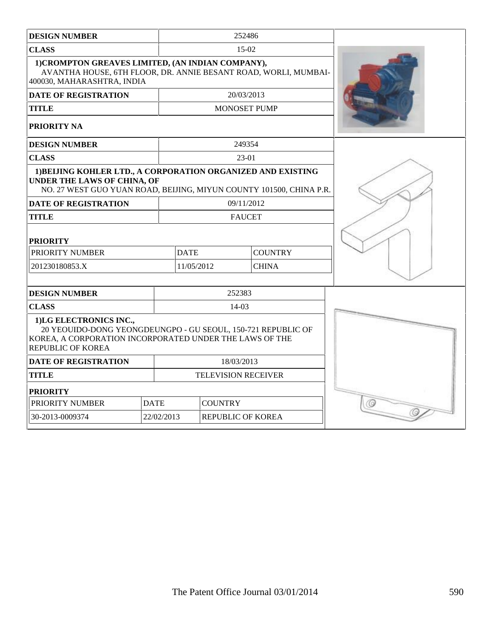| <b>DESIGN NUMBER</b>                                                                                                                                                          |             |                            |        | 252486              |  |
|-------------------------------------------------------------------------------------------------------------------------------------------------------------------------------|-------------|----------------------------|--------|---------------------|--|
| <b>CLASS</b>                                                                                                                                                                  |             | $15-02$                    |        |                     |  |
| 1) CROMPTON GREAVES LIMITED, (AN INDIAN COMPANY),<br>AVANTHA HOUSE, 6TH FLOOR, DR. ANNIE BESANT ROAD, WORLI, MUMBAI-<br>400030, MAHARASHTRA, INDIA                            |             |                            |        |                     |  |
| <b>DATE OF REGISTRATION</b>                                                                                                                                                   |             |                            |        | 20/03/2013          |  |
| <b>TITLE</b>                                                                                                                                                                  |             |                            |        | <b>MONOSET PUMP</b> |  |
| PRIORITY NA                                                                                                                                                                   |             |                            |        |                     |  |
| <b>DESIGN NUMBER</b>                                                                                                                                                          |             |                            |        | 249354              |  |
| <b>CLASS</b>                                                                                                                                                                  |             |                            |        | $23-01$             |  |
| 1) BEIJING KOHLER LTD., A CORPORATION ORGANIZED AND EXISTING<br>UNDER THE LAWS OF CHINA, OF<br>NO. 27 WEST GUO YUAN ROAD, BEIJING, MIYUN COUNTY 101500, CHINA P.R.            |             |                            |        |                     |  |
| <b>DATE OF REGISTRATION</b>                                                                                                                                                   |             |                            |        | 09/11/2012          |  |
| TITLE                                                                                                                                                                         |             |                            |        | <b>FAUCET</b>       |  |
| <b>PRIORITY</b>                                                                                                                                                               |             |                            |        |                     |  |
| PRIORITY NUMBER                                                                                                                                                               |             | <b>DATE</b>                |        | <b>COUNTRY</b>      |  |
| 201230180853.X                                                                                                                                                                |             | 11/05/2012                 |        | <b>CHINA</b>        |  |
|                                                                                                                                                                               |             |                            |        |                     |  |
| <b>DESIGN NUMBER</b>                                                                                                                                                          |             |                            | 252383 |                     |  |
| <b>CLASS</b>                                                                                                                                                                  |             | $14 - 03$                  |        |                     |  |
| 1)LG ELECTRONICS INC.,<br>20 YEOUIDO-DONG YEONGDEUNGPO - GU SEOUL, 150-721 REPUBLIC OF<br>KOREA, A CORPORATION INCORPORATED UNDER THE LAWS OF THE<br><b>REPUBLIC OF KOREA</b> |             |                            |        |                     |  |
| <b>DATE OF REGISTRATION</b>                                                                                                                                                   |             | 18/03/2013                 |        |                     |  |
| <b>TITLE</b>                                                                                                                                                                  |             | <b>TELEVISION RECEIVER</b> |        |                     |  |
| <b>PRIORITY</b>                                                                                                                                                               |             |                            |        |                     |  |
| PRIORITY NUMBER                                                                                                                                                               | <b>DATE</b> | <b>COUNTRY</b>             |        |                     |  |
| 30-2013-0009374                                                                                                                                                               | 22/02/2013  | <b>REPUBLIC OF KOREA</b>   |        |                     |  |
|                                                                                                                                                                               |             |                            |        |                     |  |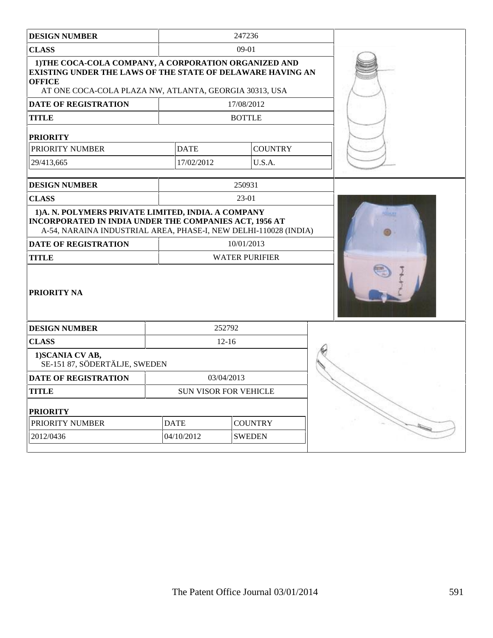| <b>DESIGN NUMBER</b>                                                                                                                                                                                  |             | 247236                       |                                                                                                                                                                                                                                                                                                                                                     |
|-------------------------------------------------------------------------------------------------------------------------------------------------------------------------------------------------------|-------------|------------------------------|-----------------------------------------------------------------------------------------------------------------------------------------------------------------------------------------------------------------------------------------------------------------------------------------------------------------------------------------------------|
| <b>CLASS</b>                                                                                                                                                                                          |             | 09-01                        |                                                                                                                                                                                                                                                                                                                                                     |
| 1) THE COCA-COLA COMPANY, A CORPORATION ORGANIZED AND<br><b>EXISTING UNDER THE LAWS OF THE STATE OF DELAWARE HAVING AN</b><br><b>OFFICE</b><br>AT ONE COCA-COLA PLAZA NW, ATLANTA, GEORGIA 30313, USA |             |                              |                                                                                                                                                                                                                                                                                                                                                     |
| DATE OF REGISTRATION                                                                                                                                                                                  |             | 17/08/2012                   |                                                                                                                                                                                                                                                                                                                                                     |
| <b>TITLE</b>                                                                                                                                                                                          |             | <b>BOTTLE</b>                |                                                                                                                                                                                                                                                                                                                                                     |
| <b>PRIORITY</b>                                                                                                                                                                                       |             |                              |                                                                                                                                                                                                                                                                                                                                                     |
| PRIORITY NUMBER                                                                                                                                                                                       | <b>DATE</b> | <b>COUNTRY</b>               |                                                                                                                                                                                                                                                                                                                                                     |
| 29/413,665                                                                                                                                                                                            | 17/02/2012  | U.S.A.                       |                                                                                                                                                                                                                                                                                                                                                     |
| <b>DESIGN NUMBER</b>                                                                                                                                                                                  |             | 250931                       |                                                                                                                                                                                                                                                                                                                                                     |
| <b>CLASS</b>                                                                                                                                                                                          |             | 23-01                        |                                                                                                                                                                                                                                                                                                                                                     |
| 1) A. N. POLYMERS PRIVATE LIMITED, INDIA. A COMPANY                                                                                                                                                   |             |                              |                                                                                                                                                                                                                                                                                                                                                     |
| A-54, NARAINA INDUSTRIAL AREA, PHASE-I, NEW DELHI-110028 (INDIA)                                                                                                                                      |             |                              |                                                                                                                                                                                                                                                                                                                                                     |
|                                                                                                                                                                                                       |             | 10/01/2013                   |                                                                                                                                                                                                                                                                                                                                                     |
|                                                                                                                                                                                                       |             | <b>WATER PURIFIER</b>        |                                                                                                                                                                                                                                                                                                                                                     |
|                                                                                                                                                                                                       |             | 252792                       |                                                                                                                                                                                                                                                                                                                                                     |
| <b>CLASS</b>                                                                                                                                                                                          |             | $12-16$                      |                                                                                                                                                                                                                                                                                                                                                     |
| 1) SCANIA CV AB,<br>SE-151 87, SÖDERTÄLJE, SWEDEN                                                                                                                                                     |             |                              |                                                                                                                                                                                                                                                                                                                                                     |
|                                                                                                                                                                                                       |             | 03/04/2013                   |                                                                                                                                                                                                                                                                                                                                                     |
| <b>TITLE</b>                                                                                                                                                                                          |             | <b>SUN VISOR FOR VEHICLE</b> |                                                                                                                                                                                                                                                                                                                                                     |
| INCORPORATED IN INDIA UNDER THE COMPANIES ACT, 1956 AT<br><b>DATE OF REGISTRATION</b><br><b>TITLE</b><br><b>PRIORITY NA</b><br><b>DESIGN NUMBER</b><br><b>DATE OF REGISTRATION</b><br><b>PRIORITY</b> |             |                              |                                                                                                                                                                                                                                                                                                                                                     |
| PRIORITY NUMBER                                                                                                                                                                                       | <b>DATE</b> | <b>COUNTRY</b>               | $\begin{picture}(20,20) \put(0,0){\line(1,0){10}} \put(15,0){\line(1,0){10}} \put(15,0){\line(1,0){10}} \put(15,0){\line(1,0){10}} \put(15,0){\line(1,0){10}} \put(15,0){\line(1,0){10}} \put(15,0){\line(1,0){10}} \put(15,0){\line(1,0){10}} \put(15,0){\line(1,0){10}} \put(15,0){\line(1,0){10}} \put(15,0){\line(1,0){10}} \put(15,0){\line(1$ |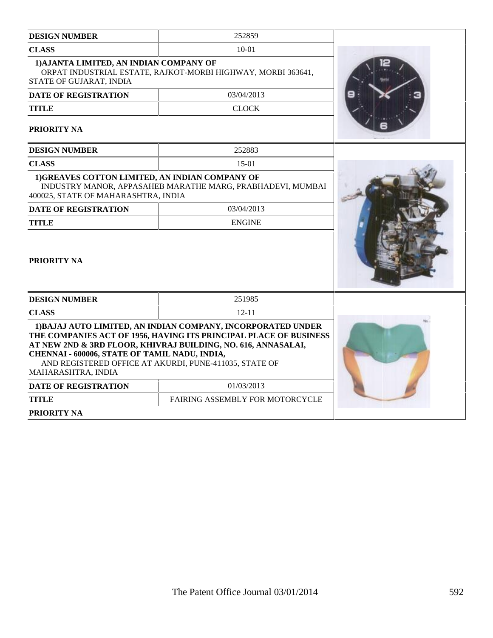| <b>DESIGN NUMBER</b>                                                                                                                                                                                                                                                                                                                | 252859                                                       |  |  |  |
|-------------------------------------------------------------------------------------------------------------------------------------------------------------------------------------------------------------------------------------------------------------------------------------------------------------------------------------|--------------------------------------------------------------|--|--|--|
| <b>CLASS</b>                                                                                                                                                                                                                                                                                                                        | $10-01$                                                      |  |  |  |
| 1) AJANTA LIMITED, AN INDIAN COMPANY OF<br><b>STATE OF GUJARAT, INDIA</b>                                                                                                                                                                                                                                                           | ORPAT INDUSTRIAL ESTATE, RAJKOT-MORBI HIGHWAY, MORBI 363641, |  |  |  |
| <b>DATE OF REGISTRATION</b>                                                                                                                                                                                                                                                                                                         | 03/04/2013                                                   |  |  |  |
| <b>TITLE</b>                                                                                                                                                                                                                                                                                                                        | <b>CLOCK</b>                                                 |  |  |  |
| <b>PRIORITY NA</b>                                                                                                                                                                                                                                                                                                                  |                                                              |  |  |  |
| <b>DESIGN NUMBER</b>                                                                                                                                                                                                                                                                                                                | 252883                                                       |  |  |  |
| <b>CLASS</b>                                                                                                                                                                                                                                                                                                                        | $15-01$                                                      |  |  |  |
| 1)GREAVES COTTON LIMITED, AN INDIAN COMPANY OF<br>400025, STATE OF MAHARASHTRA, INDIA                                                                                                                                                                                                                                               | INDUSTRY MANOR, APPASAHEB MARATHE MARG, PRABHADEVI, MUMBAI   |  |  |  |
| <b>DATE OF REGISTRATION</b>                                                                                                                                                                                                                                                                                                         | 03/04/2013                                                   |  |  |  |
| TITLE                                                                                                                                                                                                                                                                                                                               | <b>ENGINE</b>                                                |  |  |  |
| <b>PRIORITY NA</b>                                                                                                                                                                                                                                                                                                                  |                                                              |  |  |  |
| <b>DESIGN NUMBER</b>                                                                                                                                                                                                                                                                                                                | 251985                                                       |  |  |  |
| <b>CLASS</b>                                                                                                                                                                                                                                                                                                                        | $12 - 11$                                                    |  |  |  |
| 1) BAJAJ AUTO LIMITED, AN INDIAN COMPANY, INCORPORATED UNDER<br>THE COMPANIES ACT OF 1956, HAVING ITS PRINCIPAL PLACE OF BUSINESS<br>AT NEW 2ND & 3RD FLOOR, KHIVRAJ BUILDING, NO. 616, ANNASALAI,<br>CHENNAI - 600006, STATE OF TAMIL NADU, INDIA,<br>AND REGISTERED OFFICE AT AKURDI, PUNE-411035, STATE OF<br>MAHARASHTRA, INDIA |                                                              |  |  |  |
| <b>DATE OF REGISTRATION</b>                                                                                                                                                                                                                                                                                                         | 01/03/2013                                                   |  |  |  |
| <b>TITLE</b>                                                                                                                                                                                                                                                                                                                        | FAIRING ASSEMBLY FOR MOTORCYCLE                              |  |  |  |
| <b>PRIORITY NA</b>                                                                                                                                                                                                                                                                                                                  |                                                              |  |  |  |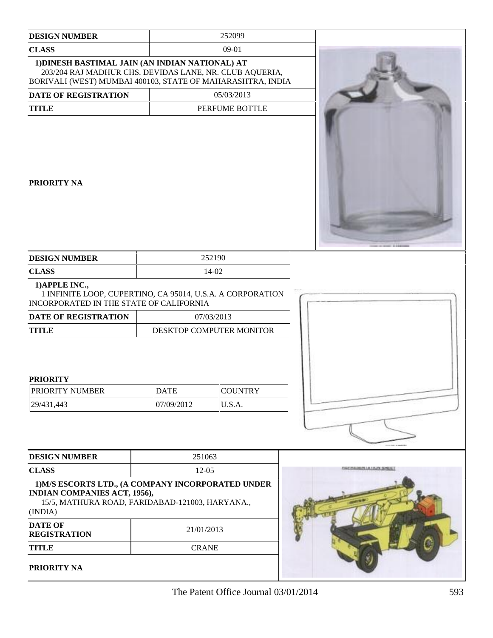| <b>DESIGN NUMBER</b>                                                                                                                                                      |                           | 252099                                 |                         |
|---------------------------------------------------------------------------------------------------------------------------------------------------------------------------|---------------------------|----------------------------------------|-------------------------|
| <b>CLASS</b>                                                                                                                                                              |                           | $09-01$                                |                         |
| 1) DINESH BASTIMAL JAIN (AN INDIAN NATIONAL) AT<br>203/204 RAJ MADHUR CHS. DEVIDAS LANE, NR. CLUB AQUERIA,<br>BORIVALI (WEST) MUMBAI 400103, STATE OF MAHARASHTRA, INDIA  |                           |                                        |                         |
| DATE OF REGISTRATION                                                                                                                                                      |                           | 05/03/2013                             |                         |
| <b>TITLE</b>                                                                                                                                                              |                           | PERFUME BOTTLE                         |                         |
| <b>PRIORITY NA</b>                                                                                                                                                        |                           |                                        |                         |
| <b>DESIGN NUMBER</b>                                                                                                                                                      |                           | 252190                                 |                         |
| <b>CLASS</b>                                                                                                                                                              |                           | 14-02                                  |                         |
| 1) APPLE INC.,<br>1 INFINITE LOOP, CUPERTINO, CA 95014, U.S.A. A CORPORATION<br>INCORPORATED IN THE STATE OF CALIFORNIA                                                   |                           |                                        |                         |
| <b>DATE OF REGISTRATION</b><br><b>TITLE</b>                                                                                                                               |                           | 07/03/2013<br>DESKTOP COMPUTER MONITOR |                         |
| <b>PRIORITY</b><br>PRIORITY NUMBER<br>29/431,443                                                                                                                          | <b>DATE</b><br>07/09/2012 | <b>COUNTRY</b><br>U.S.A.               |                         |
| <b>DESIGN NUMBER</b>                                                                                                                                                      | 251063                    |                                        |                         |
| <b>CLASS</b>                                                                                                                                                              | $12-05$                   |                                        | SETTLING NUA ULIN SPEEL |
| 1) M/S ESCORTS LTD., (A COMPANY INCORPORATED UNDER<br><b>INDIAN COMPANIES ACT, 1956),</b><br>15/5, MATHURA ROAD, FARIDABAD-121003, HARYANA.,<br>(INDIA)<br><b>DATE OF</b> | 21/01/2013                |                                        |                         |
| <b>REGISTRATION</b><br><b>TITLE</b>                                                                                                                                       | <b>CRANE</b>              |                                        |                         |
| PRIORITY NA                                                                                                                                                               |                           |                                        |                         |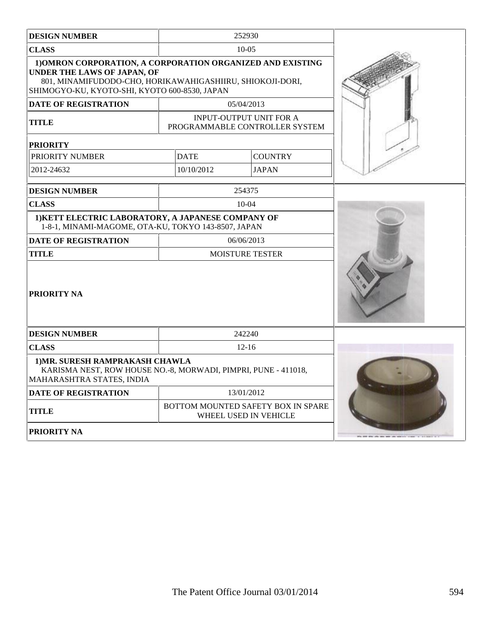| <b>DESIGN NUMBER</b>                                                                                                                                                                                           |                                                                    | 252930                                                           |  |
|----------------------------------------------------------------------------------------------------------------------------------------------------------------------------------------------------------------|--------------------------------------------------------------------|------------------------------------------------------------------|--|
| CLASS                                                                                                                                                                                                          |                                                                    | $10-0.5$                                                         |  |
| 1) OMRON CORPORATION, A CORPORATION ORGANIZED AND EXISTING<br><b>UNDER THE LAWS OF JAPAN, OF</b><br>801, MINAMIFUDODO-CHO, HORIKAWAHIGASHIIRU, SHIOKOJI-DORI,<br>SHIMOGYO-KU, KYOTO-SHI, KYOTO 600-8530, JAPAN |                                                                    |                                                                  |  |
| <b>DATE OF REGISTRATION</b>                                                                                                                                                                                    |                                                                    | 05/04/2013                                                       |  |
| <b>TITLE</b>                                                                                                                                                                                                   |                                                                    | <b>INPUT-OUTPUT UNIT FOR A</b><br>PROGRAMMABLE CONTROLLER SYSTEM |  |
| <b>PRIORITY</b>                                                                                                                                                                                                |                                                                    |                                                                  |  |
| PRIORITY NUMBER                                                                                                                                                                                                | <b>DATE</b><br><b>COUNTRY</b>                                      |                                                                  |  |
| 2012-24632                                                                                                                                                                                                     | 10/10/2012                                                         | <b>JAPAN</b>                                                     |  |
| <b>DESIGN NUMBER</b>                                                                                                                                                                                           |                                                                    | 254375                                                           |  |
| <b>CLASS</b>                                                                                                                                                                                                   |                                                                    | $10-04$                                                          |  |
| 1) KETT ELECTRIC LABORATORY, A JAPANESE COMPANY OF<br>1-8-1, MINAMI-MAGOME, OTA-KU, TOKYO 143-8507, JAPAN                                                                                                      |                                                                    |                                                                  |  |
| <b>DATE OF REGISTRATION</b>                                                                                                                                                                                    |                                                                    | 06/06/2013                                                       |  |
| <b>TITLE</b>                                                                                                                                                                                                   | <b>MOISTURE TESTER</b>                                             |                                                                  |  |
| <b>PRIORITY NA</b>                                                                                                                                                                                             |                                                                    |                                                                  |  |
| <b>DESIGN NUMBER</b>                                                                                                                                                                                           |                                                                    | 242240                                                           |  |
| <b>CLASS</b>                                                                                                                                                                                                   |                                                                    | $12 - 16$                                                        |  |
| 1) MR. SURESH RAMPRAKASH CHAWLA<br>KARISMA NEST, ROW HOUSE NO.-8, MORWADI, PIMPRI, PUNE - 411018,<br>MAHARASHTRA STATES, INDIA                                                                                 |                                                                    |                                                                  |  |
| <b>DATE OF REGISTRATION</b>                                                                                                                                                                                    |                                                                    | 13/01/2012                                                       |  |
| <b>TITLE</b>                                                                                                                                                                                                   | <b>BOTTOM MOUNTED SAFETY BOX IN SPARE</b><br>WHEEL USED IN VEHICLE |                                                                  |  |
| PRIORITY NA                                                                                                                                                                                                    |                                                                    |                                                                  |  |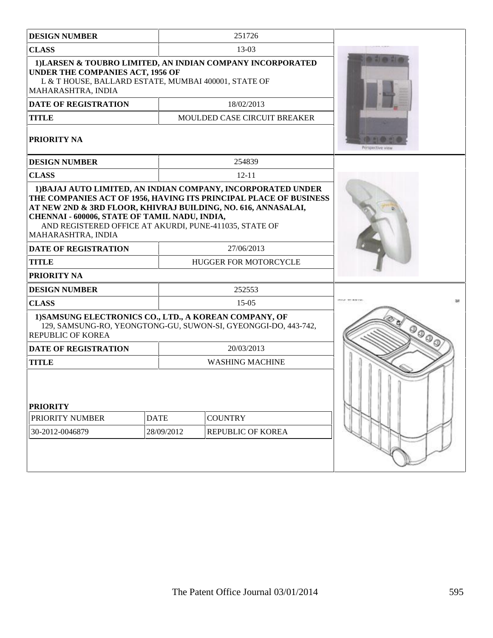| <b>DESIGN NUMBER</b>                                                                                                                                                                           | 251726                                                                                                                            |                  |  |  |
|------------------------------------------------------------------------------------------------------------------------------------------------------------------------------------------------|-----------------------------------------------------------------------------------------------------------------------------------|------------------|--|--|
| <b>CLASS</b>                                                                                                                                                                                   | $13-03$                                                                                                                           |                  |  |  |
| 1) LARSEN & TOUBRO LIMITED, AN INDIAN COMPANY INCORPORATED<br><b>UNDER THE COMPANIES ACT, 1956 OF</b><br>L & T HOUSE, BALLARD ESTATE, MUMBAI 400001, STATE OF<br>MAHARASHTRA, INDIA            |                                                                                                                                   |                  |  |  |
| <b>DATE OF REGISTRATION</b>                                                                                                                                                                    | 18/02/2013                                                                                                                        |                  |  |  |
| <b>TITLE</b>                                                                                                                                                                                   | <b>MOULDED CASE CIRCUIT BREAKER</b>                                                                                               |                  |  |  |
| <b>PRIORITY NA</b>                                                                                                                                                                             |                                                                                                                                   | Perspective view |  |  |
| <b>DESIGN NUMBER</b>                                                                                                                                                                           | 254839                                                                                                                            |                  |  |  |
| <b>CLASS</b>                                                                                                                                                                                   | $12 - 11$                                                                                                                         |                  |  |  |
| AT NEW 2ND & 3RD FLOOR, KHIVRAJ BUILDING, NO. 616, ANNASALAI,<br>CHENNAI - 600006, STATE OF TAMIL NADU, INDIA,<br>AND REGISTERED OFFICE AT AKURDI, PUNE-411035, STATE OF<br>MAHARASHTRA, INDIA | 1) BAJAJ AUTO LIMITED, AN INDIAN COMPANY, INCORPORATED UNDER<br>THE COMPANIES ACT OF 1956, HAVING ITS PRINCIPAL PLACE OF BUSINESS |                  |  |  |
| <b>DATE OF REGISTRATION</b>                                                                                                                                                                    |                                                                                                                                   |                  |  |  |
| <b>TITLE</b>                                                                                                                                                                                   | <b>HUGGER FOR MOTORCYCLE</b>                                                                                                      |                  |  |  |
| <b>PRIORITY NA</b>                                                                                                                                                                             |                                                                                                                                   |                  |  |  |
| <b>DESIGN NUMBER</b>                                                                                                                                                                           | 252553                                                                                                                            |                  |  |  |
| <b>CLASS</b>                                                                                                                                                                                   | $15-05$                                                                                                                           |                  |  |  |
| 1) SAMSUNG ELECTRONICS CO., LTD., A KOREAN COMPANY, OF<br><b>REPUBLIC OF KOREA</b>                                                                                                             | 129, SAMSUNG-RO, YEONGTONG-GU, SUWON-SI, GYEONGGI-DO, 443-742,                                                                    |                  |  |  |
| <b>DATE OF REGISTRATION</b>                                                                                                                                                                    | 20/03/2013                                                                                                                        |                  |  |  |
| <b>TITLE</b>                                                                                                                                                                                   | <b>WASHING MACHINE</b>                                                                                                            |                  |  |  |
| <b>PRIORITY</b><br>PRIORITY NUMBER<br><b>DATE</b><br>28/09/2012<br>30-2012-0046879                                                                                                             | <b>COUNTRY</b><br>REPUBLIC OF KOREA                                                                                               |                  |  |  |
|                                                                                                                                                                                                |                                                                                                                                   |                  |  |  |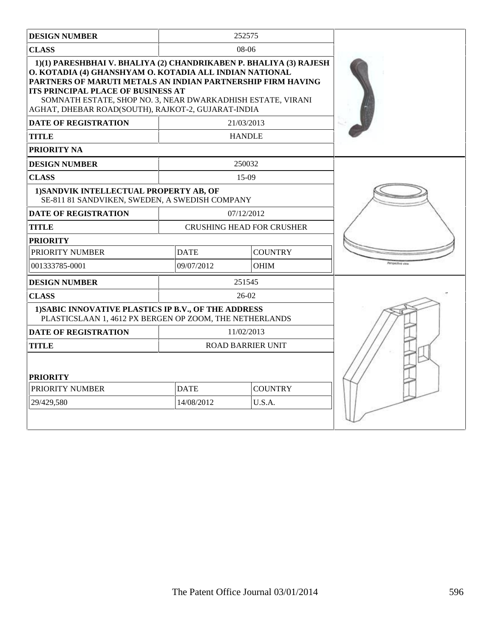| <b>DESIGN NUMBER</b>                                                                                                                                                                                                                                                                                                                                    |                               | 252575                           |                        |
|---------------------------------------------------------------------------------------------------------------------------------------------------------------------------------------------------------------------------------------------------------------------------------------------------------------------------------------------------------|-------------------------------|----------------------------------|------------------------|
| <b>CLASS</b>                                                                                                                                                                                                                                                                                                                                            |                               | 08-06                            |                        |
| 1)(1) PARESHBHAI V. BHALIYA (2) CHANDRIKABEN P. BHALIYA (3) RAJESH<br>O. KOTADIA (4) GHANSHYAM O. KOTADIA ALL INDIAN NATIONAL<br>PARTNERS OF MARUTI METALS AN INDIAN PARTNERSHIP FIRM HAVING<br>ITS PRINCIPAL PLACE OF BUSINESS AT<br>SOMNATH ESTATE, SHOP NO. 3, NEAR DWARKADHISH ESTATE, VIRANI<br>AGHAT, DHEBAR ROAD(SOUTH), RAJKOT-2, GUJARAT-INDIA |                               |                                  |                        |
| <b>DATE OF REGISTRATION</b>                                                                                                                                                                                                                                                                                                                             |                               | 21/03/2013                       |                        |
| <b>TITLE</b>                                                                                                                                                                                                                                                                                                                                            |                               | <b>HANDLE</b>                    |                        |
| PRIORITY NA                                                                                                                                                                                                                                                                                                                                             |                               |                                  |                        |
| <b>DESIGN NUMBER</b>                                                                                                                                                                                                                                                                                                                                    |                               | 250032                           |                        |
| <b>CLASS</b>                                                                                                                                                                                                                                                                                                                                            |                               | 15-09                            |                        |
| 1) SANDVIK INTELLECTUAL PROPERTY AB, OF<br>SE-811 81 SANDVIKEN, SWEDEN, A SWEDISH COMPANY                                                                                                                                                                                                                                                               |                               |                                  |                        |
| <b>DATE OF REGISTRATION</b>                                                                                                                                                                                                                                                                                                                             |                               | 07/12/2012                       |                        |
| TITLE                                                                                                                                                                                                                                                                                                                                                   |                               | <b>CRUSHING HEAD FOR CRUSHER</b> |                        |
| <b>PRIORITY</b>                                                                                                                                                                                                                                                                                                                                         |                               |                                  |                        |
| PRIORITY NUMBER                                                                                                                                                                                                                                                                                                                                         | <b>DATE</b><br><b>COUNTRY</b> |                                  |                        |
| 001333785-0001                                                                                                                                                                                                                                                                                                                                          | 09/07/2012                    | <b>OHIM</b>                      | <b>Wilson/Eve view</b> |
| <b>DESIGN NUMBER</b>                                                                                                                                                                                                                                                                                                                                    |                               | 251545                           |                        |
| <b>CLASS</b>                                                                                                                                                                                                                                                                                                                                            |                               | $26-02$                          |                        |
| 1) SABIC INNOVATIVE PLASTICS IP B.V., OF THE ADDRESS<br>PLASTICSLAAN 1, 4612 PX BERGEN OP ZOOM, THE NETHERLANDS                                                                                                                                                                                                                                         |                               |                                  |                        |
| <b>DATE OF REGISTRATION</b>                                                                                                                                                                                                                                                                                                                             |                               | 11/02/2013                       |                        |
| TITLE                                                                                                                                                                                                                                                                                                                                                   |                               | <b>ROAD BARRIER UNIT</b>         |                        |
| <b>PRIORITY</b><br>PRIORITY NUMBER<br>29/429,580                                                                                                                                                                                                                                                                                                        |                               |                                  |                        |
|                                                                                                                                                                                                                                                                                                                                                         |                               |                                  |                        |